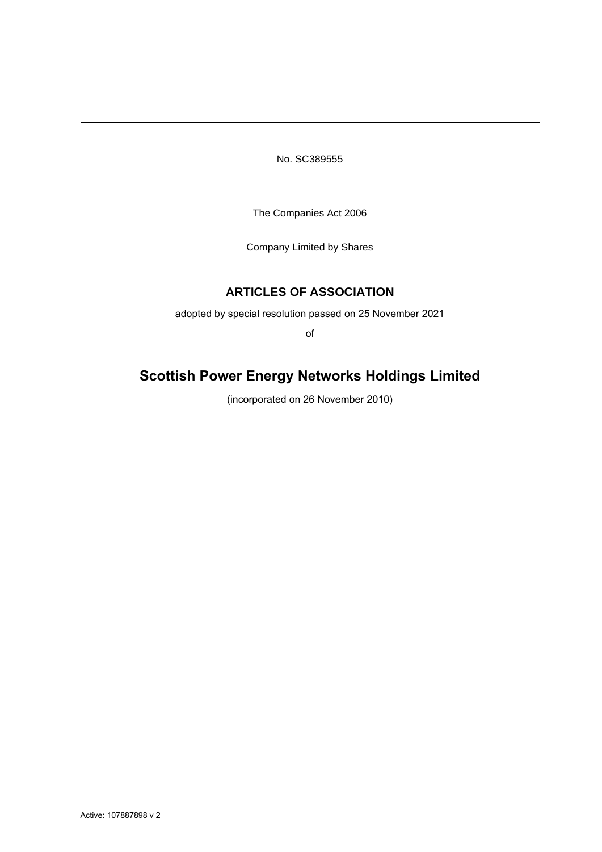No. SC389555

The Companies Act 2006

Company Limited by Shares

# **ARTICLES OF ASSOCIATION**

adopted by special resolution passed on 25 November 2021

of

# **Scottish Power Energy Networks Holdings Limited**

(incorporated on 26 November 2010)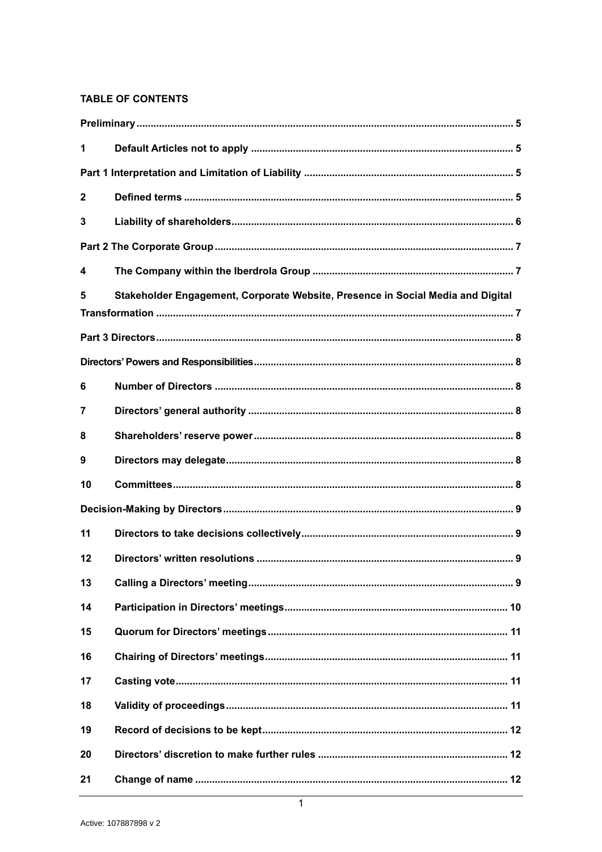# **TABLE OF CONTENTS**

| 1              |                                                                                 |  |
|----------------|---------------------------------------------------------------------------------|--|
|                |                                                                                 |  |
| $\mathbf{2}$   |                                                                                 |  |
| 3              |                                                                                 |  |
|                |                                                                                 |  |
| 4              |                                                                                 |  |
| 5              | Stakeholder Engagement, Corporate Website, Presence in Social Media and Digital |  |
|                |                                                                                 |  |
|                |                                                                                 |  |
| 6              |                                                                                 |  |
| $\overline{7}$ |                                                                                 |  |
| 8              |                                                                                 |  |
| 9              |                                                                                 |  |
| 10             |                                                                                 |  |
|                |                                                                                 |  |
| 11             |                                                                                 |  |
| 12             |                                                                                 |  |
| 13             |                                                                                 |  |
| 14             |                                                                                 |  |
| 15             |                                                                                 |  |
| 16             |                                                                                 |  |
| 17             |                                                                                 |  |
| 18             |                                                                                 |  |
| 19             |                                                                                 |  |
| 20             |                                                                                 |  |
| 21             |                                                                                 |  |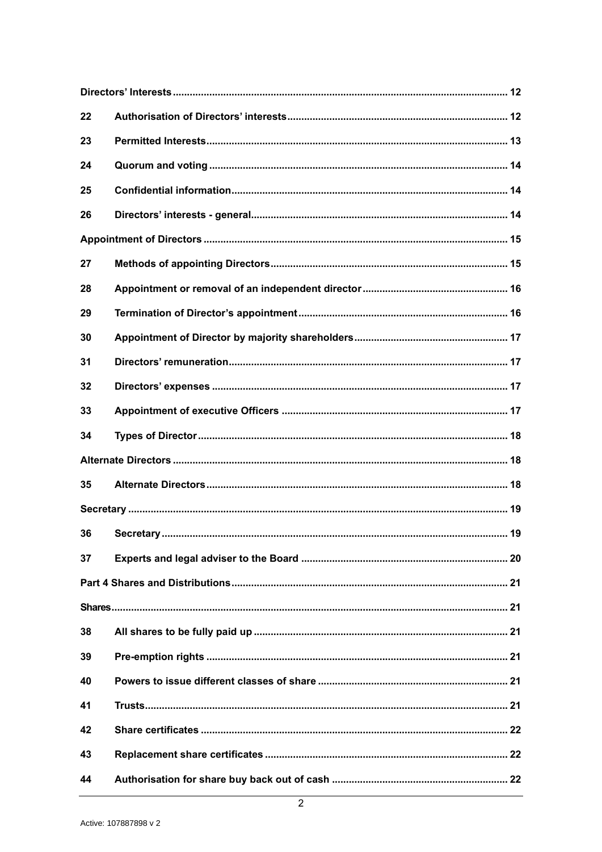| 22 |  |
|----|--|
| 23 |  |
| 24 |  |
| 25 |  |
| 26 |  |
|    |  |
| 27 |  |
| 28 |  |
| 29 |  |
| 30 |  |
| 31 |  |
| 32 |  |
| 33 |  |
| 34 |  |
|    |  |
| 35 |  |
|    |  |
| 36 |  |
| 37 |  |
|    |  |
|    |  |
| 38 |  |
| 39 |  |
| 40 |  |
| 41 |  |
| 42 |  |
| 43 |  |
| 44 |  |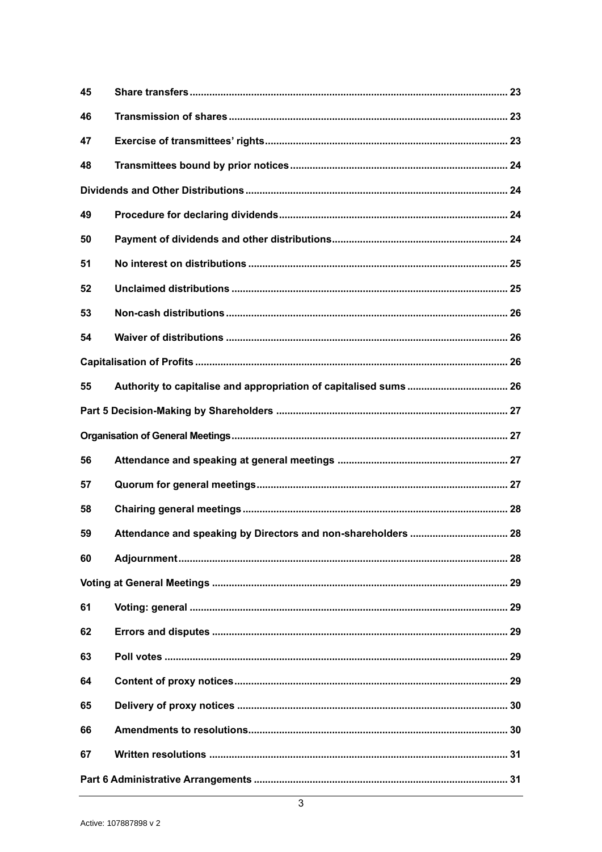| 45 |                                                               |  |
|----|---------------------------------------------------------------|--|
| 46 |                                                               |  |
| 47 |                                                               |  |
| 48 |                                                               |  |
|    |                                                               |  |
| 49 |                                                               |  |
| 50 |                                                               |  |
| 51 |                                                               |  |
| 52 |                                                               |  |
| 53 |                                                               |  |
| 54 |                                                               |  |
|    |                                                               |  |
| 55 |                                                               |  |
|    |                                                               |  |
|    |                                                               |  |
| 56 |                                                               |  |
|    |                                                               |  |
| 57 |                                                               |  |
| 58 |                                                               |  |
| 59 | Attendance and speaking by Directors and non-shareholders  28 |  |
| 60 |                                                               |  |
|    |                                                               |  |
| 61 |                                                               |  |
| 62 |                                                               |  |
| 63 |                                                               |  |
| 64 |                                                               |  |
| 65 |                                                               |  |
| 66 |                                                               |  |
| 67 |                                                               |  |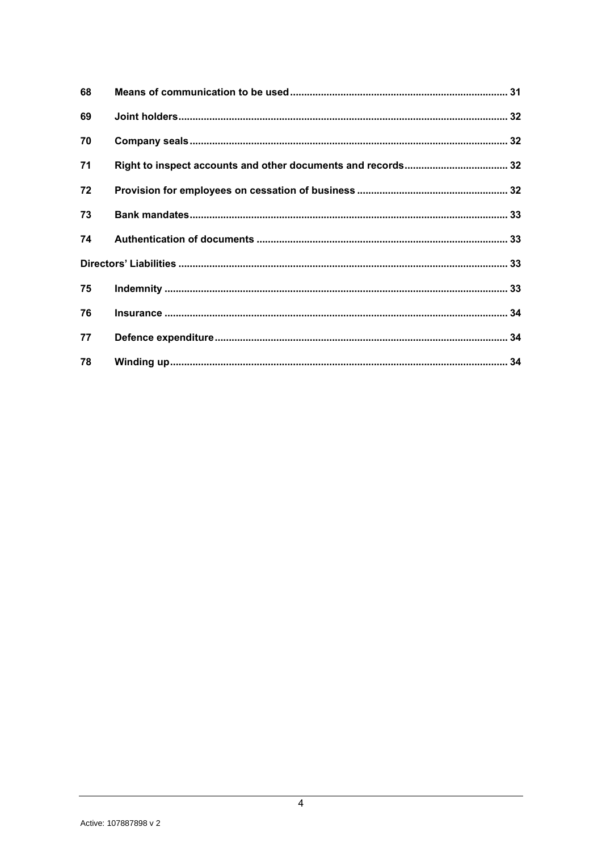| 68 |  |
|----|--|
| 69 |  |
| 70 |  |
| 71 |  |
| 72 |  |
| 73 |  |
| 74 |  |
|    |  |
| 75 |  |
| 76 |  |
| 77 |  |
| 78 |  |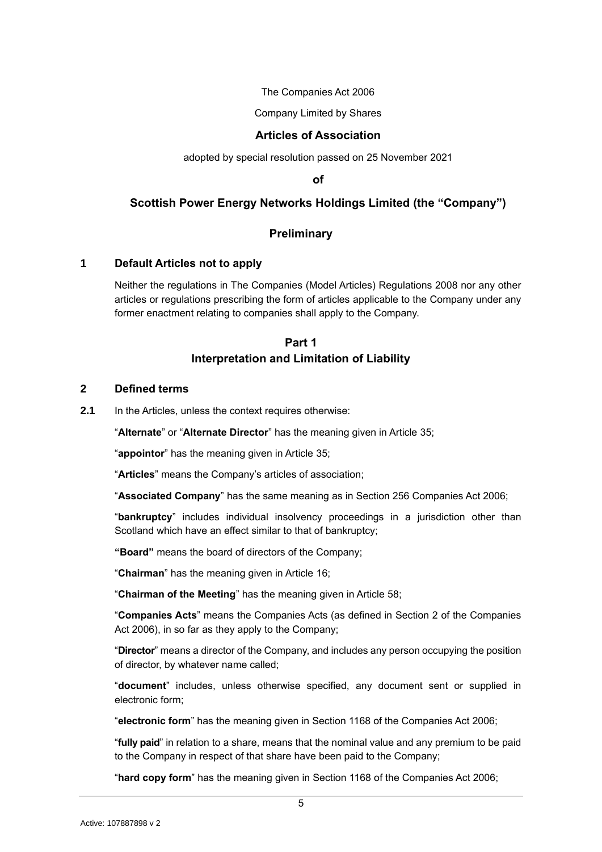The Companies Act 2006

Company Limited by Shares

### **Articles of Association**

adopted by special resolution passed on 25 November 2021

**of**

# **Scottish Power Energy Networks Holdings Limited (the "Company")**

### **Preliminary**

#### <span id="page-5-1"></span><span id="page-5-0"></span>**1 Default Articles not to apply**

Neither the regulations in The Companies (Model Articles) Regulations 2008 nor any other articles or regulations prescribing the form of articles applicable to the Company under any former enactment relating to companies shall apply to the Company.

# **Part 1 Interpretation and Limitation of Liability**

#### <span id="page-5-3"></span><span id="page-5-2"></span>**2 Defined terms**

**2.1** In the Articles, unless the context requires otherwise:

"**Alternate**" or "**Alternate Director**" has the meaning given in Article [35;](#page-18-2)

"**appointor**" has the meaning given in Article [35;](#page-18-2)

"**Articles**" means the Company's articles of association;

"**Associated Company**" has the same meaning as in Section 256 Companies Act 2006;

"**bankruptcy**" includes individual insolvency proceedings in a jurisdiction other than Scotland which have an effect similar to that of bankruptcy;

**"Board"** means the board of directors of the Company;

"**Chairman**" has the meaning given in Article [16;](#page-11-1)

"**Chairman of the Meeting**" has the meaning given in Article [58;](#page-28-0)

"**Companies Acts**" means the Companies Acts (as defined in Section 2 of the Companies Act 2006), in so far as they apply to the Company;

"**Director**" means a director of the Company, and includes any person occupying the position of director, by whatever name called;

"**document**" includes, unless otherwise specified, any document sent or supplied in electronic form;

"**electronic form**" has the meaning given in Section 1168 of the Companies Act 2006;

"**fully paid**" in relation to a share, means that the nominal value and any premium to be paid to the Company in respect of that share have been paid to the Company;

"**hard copy form**" has the meaning given in Section 1168 of the Companies Act 2006;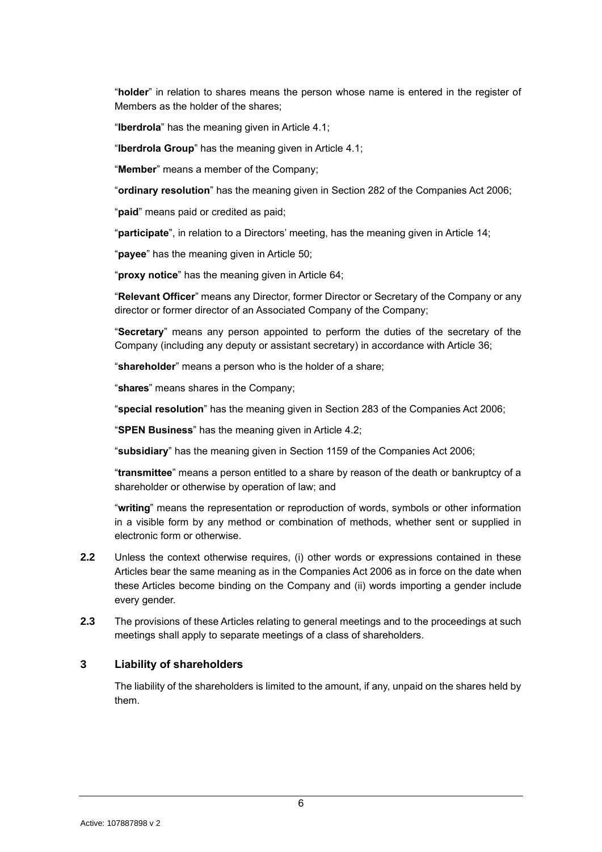"**holder**" in relation to shares means the person whose name is entered in the register of Members as the holder of the shares;

"**Iberdrola**" has the meaning given in Article [4.1;](#page-7-3)

"**Iberdrola Group**" has the meaning given in Article [4.1;](#page-7-3)

"**Member**" means a member of the Company;

"**ordinary resolution**" has the meaning given in Section 282 of the Companies Act 2006;

"**paid**" means paid or credited as paid;

"**participate**", in relation to a Directors' meeting, has the meaning given in Article [14;](#page-10-0)

"**payee**" has the meaning given in Article [50;](#page-24-3)

"**proxy notice**" has the meaning given in Article [64;](#page-29-4)

"**Relevant Officer**" means any Director, former Director or Secretary of the Company or any director or former director of an Associated Company of the Company;

"**Secretary**" means any person appointed to perform the duties of the secretary of the Company (including any deputy or assistant secretary) in accordance with Article [36;](#page-19-1)

"**shareholder**" means a person who is the holder of a share;

"**shares**" means shares in the Company;

"**special resolution**" has the meaning given in Section 283 of the Companies Act 2006;

"**SPEN Business**" has the meaning given in Article [4.2;](#page-7-4)

"**subsidiary**" has the meaning given in Section 1159 of the Companies Act 2006;

"**transmittee**" means a person entitled to a share by reason of the death or bankruptcy of a shareholder or otherwise by operation of law; and

"**writing**" means the representation or reproduction of words, symbols or other information in a visible form by any method or combination of methods, whether sent or supplied in electronic form or otherwise.

- **2.2** Unless the context otherwise requires, (i) other words or expressions contained in these Articles bear the same meaning as in the Companies Act 2006 as in force on the date when these Articles become binding on the Company and (ii) words importing a gender include every gender.
- **2.3** The provisions of these Articles relating to general meetings and to the proceedings at such meetings shall apply to separate meetings of a class of shareholders.

# <span id="page-6-0"></span>**3 Liability of shareholders**

The liability of the shareholders is limited to the amount, if any, unpaid on the shares held by them.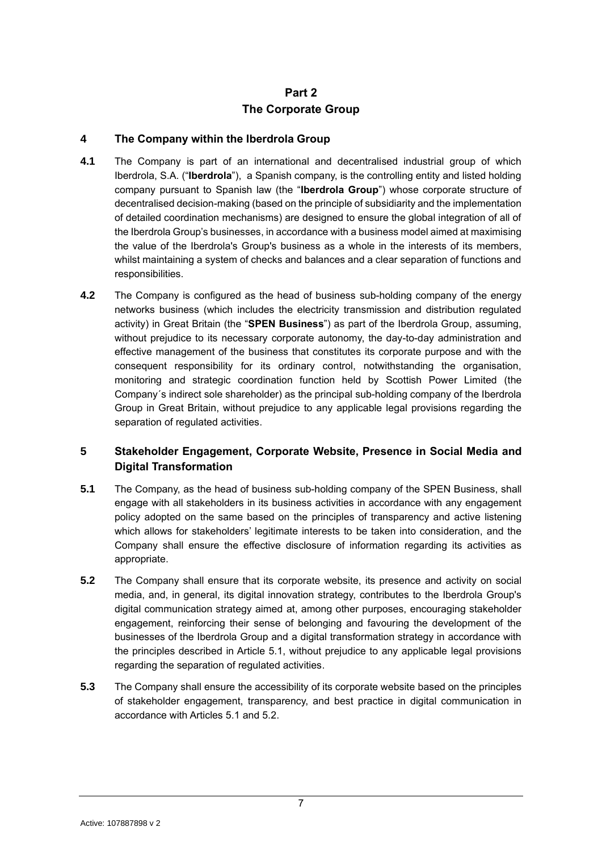# **Part 2 The Corporate Group**

# <span id="page-7-1"></span><span id="page-7-0"></span>**4 The Company within the Iberdrola Group**

- <span id="page-7-3"></span>**4.1** The Company is part of an international and decentralised industrial group of which Iberdrola, S.A. ("**Iberdrola**"), a Spanish company, is the controlling entity and listed holding company pursuant to Spanish law (the "**Iberdrola Group**") whose corporate structure of decentralised decision-making (based on the principle of subsidiarity and the implementation of detailed coordination mechanisms) are designed to ensure the global integration of all of the Iberdrola Group's businesses, in accordance with a business model aimed at maximising the value of the Iberdrola's Group's business as a whole in the interests of its members, whilst maintaining a system of checks and balances and a clear separation of functions and responsibilities.
- <span id="page-7-4"></span>**4.2** The Company is configured as the head of business sub-holding company of the energy networks business (which includes the electricity transmission and distribution regulated activity) in Great Britain (the "**SPEN Business**") as part of the Iberdrola Group, assuming, without prejudice to its necessary corporate autonomy, the day-to-day administration and effective management of the business that constitutes its corporate purpose and with the consequent responsibility for its ordinary control, notwithstanding the organisation, monitoring and strategic coordination function held by Scottish Power Limited (the Company´s indirect sole shareholder) as the principal sub-holding company of the Iberdrola Group in Great Britain, without prejudice to any applicable legal provisions regarding the separation of regulated activities.

# <span id="page-7-2"></span>**5 Stakeholder Engagement, Corporate Website, Presence in Social Media and Digital Transformation**

- **5.1** The Company, as the head of business sub-holding company of the SPEN Business, shall engage with all stakeholders in its business activities in accordance with any engagement policy adopted on the same based on the principles of transparency and active listening which allows for stakeholders' legitimate interests to be taken into consideration, and the Company shall ensure the effective disclosure of information regarding its activities as appropriate.
- **5.2** The Company shall ensure that its corporate website, its presence and activity on social media, and, in general, its digital innovation strategy, contributes to the Iberdrola Group's digital communication strategy aimed at, among other purposes, encouraging stakeholder engagement, reinforcing their sense of belonging and favouring the development of the businesses of the Iberdrola Group and a digital transformation strategy in accordance with the principles described in Article 5.1, without prejudice to any applicable legal provisions regarding the separation of regulated activities.
- **5.3** The Company shall ensure the accessibility of its corporate website based on the principles of stakeholder engagement, transparency, and best practice in digital communication in accordance with Articles 5.1 and 5.2.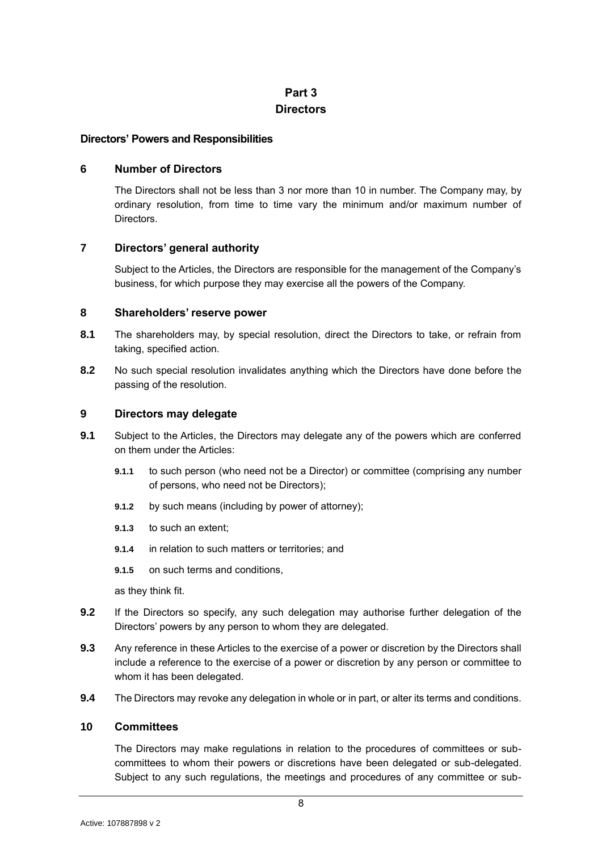# **Part 3 Directors**

### <span id="page-8-1"></span><span id="page-8-0"></span>**Directors' Powers and Responsibilities**

# <span id="page-8-2"></span>**6 Number of Directors**

The Directors shall not be less than 3 nor more than 10 in number. The Company may, by ordinary resolution, from time to time vary the minimum and/or maximum number of **Directors** 

# <span id="page-8-3"></span>**7 Directors' general authority**

Subject to the Articles, the Directors are responsible for the management of the Company's business, for which purpose they may exercise all the powers of the Company.

# <span id="page-8-4"></span>**8 Shareholders' reserve power**

- **8.1** The shareholders may, by special resolution, direct the Directors to take, or refrain from taking, specified action.
- **8.2** No such special resolution invalidates anything which the Directors have done before the passing of the resolution.

# <span id="page-8-5"></span>**9 Directors may delegate**

- **9.1** Subject to the Articles, the Directors may delegate any of the powers which are conferred on them under the Articles:
	- **9.1.1** to such person (who need not be a Director) or committee (comprising any number of persons, who need not be Directors);
	- **9.1.2** by such means (including by power of attorney);
	- **9.1.3** to such an extent;
	- **9.1.4** in relation to such matters or territories; and
	- **9.1.5** on such terms and conditions,

as they think fit.

- **9.2** If the Directors so specify, any such delegation may authorise further delegation of the Directors' powers by any person to whom they are delegated.
- **9.3** Any reference in these Articles to the exercise of a power or discretion by the Directors shall include a reference to the exercise of a power or discretion by any person or committee to whom it has been delegated.
- **9.4** The Directors may revoke any delegation in whole or in part, or alter its terms and conditions.

# <span id="page-8-6"></span>**10 Committees**

The Directors may make regulations in relation to the procedures of committees or subcommittees to whom their powers or discretions have been delegated or sub-delegated. Subject to any such regulations, the meetings and procedures of any committee or sub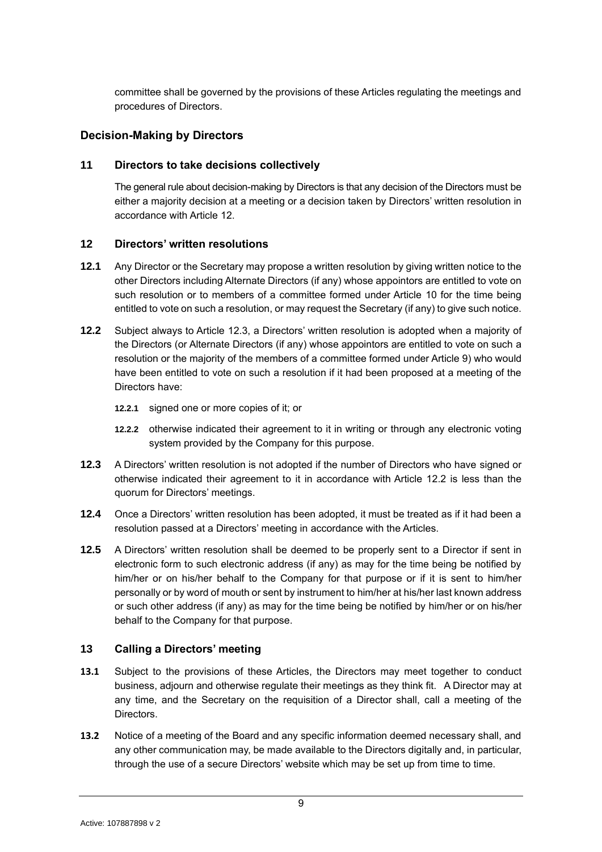committee shall be governed by the provisions of these Articles regulating the meetings and procedures of Directors.

# <span id="page-9-0"></span>**Decision-Making by Directors**

# <span id="page-9-1"></span>**11 Directors to take decisions collectively**

The general rule about decision-making by Directors is that any decision of the Directors must be either a majority decision at a meeting or a decision taken by Directors' written resolution in accordance with Article [12.](#page-9-2)

# <span id="page-9-2"></span>**12 Directors' written resolutions**

- **12.1** Any Director or the Secretary may propose a written resolution by giving written notice to the other Directors including Alternate Directors (if any) whose appointors are entitled to vote on such resolution or to members of a committee formed under Article [10](#page-8-6) for the time being entitled to vote on such a resolution, or may request the Secretary (if any) to give such notice.
- <span id="page-9-5"></span>**12.2** Subject always to Article [12.3,](#page-9-4) a Directors' written resolution is adopted when a majority of the Directors (or Alternate Directors (if any) whose appointors are entitled to vote on such a resolution or the majority of the members of a committee formed under Article [9\)](#page-8-5) who would have been entitled to vote on such a resolution if it had been proposed at a meeting of the Directors have:
	- **12.2.1** signed one or more copies of it; or
	- **12.2.2** otherwise indicated their agreement to it in writing or through any electronic voting system provided by the Company for this purpose.
- <span id="page-9-4"></span>**12.3** A Directors' written resolution is not adopted if the number of Directors who have signed or otherwise indicated their agreement to it in accordance with Article [12.2](#page-9-5) is less than the quorum for Directors' meetings.
- **12.4** Once a Directors' written resolution has been adopted, it must be treated as if it had been a resolution passed at a Directors' meeting in accordance with the Articles.
- **12.5** A Directors' written resolution shall be deemed to be properly sent to a Director if sent in electronic form to such electronic address (if any) as may for the time being be notified by him/her or on his/her behalf to the Company for that purpose or if it is sent to him/her personally or by word of mouth or sent by instrument to him/her at his/her last known address or such other address (if any) as may for the time being be notified by him/her or on his/her behalf to the Company for that purpose.

# <span id="page-9-3"></span>**13 Calling a Directors' meeting**

- <span id="page-9-6"></span>**13.1** Subject to the provisions of these Articles, the Directors may meet together to conduct business, adjourn and otherwise regulate their meetings as they think fit. A Director may at any time, and the Secretary on the requisition of a Director shall, call a meeting of the Directors.
- **13.2** Notice of a meeting of the Board and any specific information deemed necessary shall, and any other communication may, be made available to the Directors digitally and, in particular, through the use of a secure Directors' website which may be set up from time to time.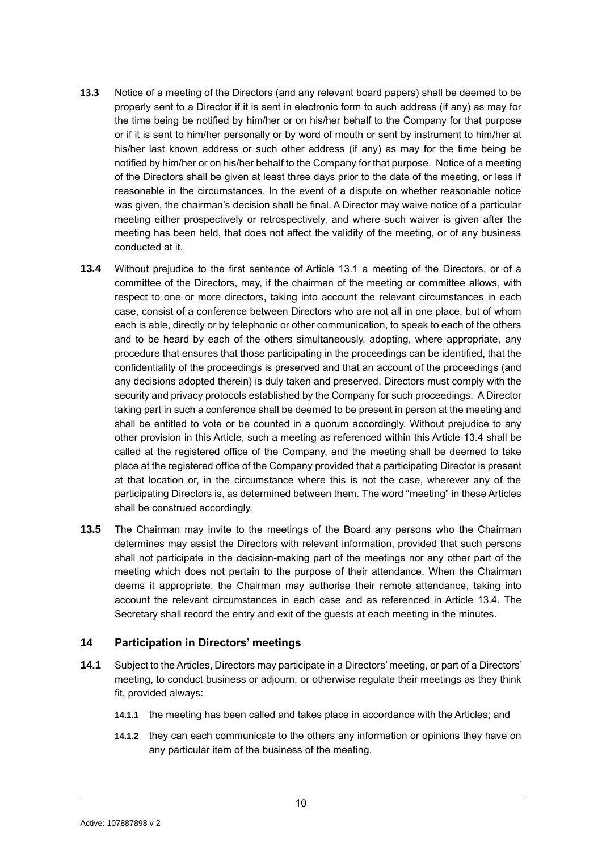- **13.3** Notice of a meeting of the Directors (and any relevant board papers) shall be deemed to be properly sent to a Director if it is sent in electronic form to such address (if any) as may for the time being be notified by him/her or on his/her behalf to the Company for that purpose or if it is sent to him/her personally or by word of mouth or sent by instrument to him/her at his/her last known address or such other address (if any) as may for the time being be notified by him/her or on his/her behalf to the Company for that purpose. Notice of a meeting of the Directors shall be given at least three days prior to the date of the meeting, or less if reasonable in the circumstances. In the event of a dispute on whether reasonable notice was given, the chairman's decision shall be final. A Director may waive notice of a particular meeting either prospectively or retrospectively, and where such waiver is given after the meeting has been held, that does not affect the validity of the meeting, or of any business conducted at it.
- <span id="page-10-1"></span>**13.4** Without prejudice to the first sentence of Article [13.1](#page-9-6) a meeting of the Directors, or of a committee of the Directors, may, if the chairman of the meeting or committee allows, with respect to one or more directors, taking into account the relevant circumstances in each case, consist of a conference between Directors who are not all in one place, but of whom each is able, directly or by telephonic or other communication, to speak to each of the others and to be heard by each of the others simultaneously, adopting, where appropriate, any procedure that ensures that those participating in the proceedings can be identified, that the confidentiality of the proceedings is preserved and that an account of the proceedings (and any decisions adopted therein) is duly taken and preserved. Directors must comply with the security and privacy protocols established by the Company for such proceedings. A Director taking part in such a conference shall be deemed to be present in person at the meeting and shall be entitled to vote or be counted in a quorum accordingly. Without prejudice to any other provision in this Article, such a meeting as referenced within this Article [13.4](#page-10-1) shall be called at the registered office of the Company, and the meeting shall be deemed to take place at the registered office of the Company provided that a participating Director is present at that location or, in the circumstance where this is not the case, wherever any of the participating Directors is, as determined between them. The word "meeting" in these Articles shall be construed accordingly.
- **13.5** The Chairman may invite to the meetings of the Board any persons who the Chairman determines may assist the Directors with relevant information, provided that such persons shall not participate in the decision-making part of the meetings nor any other part of the meeting which does not pertain to the purpose of their attendance. When the Chairman deems it appropriate, the Chairman may authorise their remote attendance, taking into account the relevant circumstances in each case and as referenced in Article 13.4. The Secretary shall record the entry and exit of the guests at each meeting in the minutes.

# <span id="page-10-0"></span>**14 Participation in Directors' meetings**

- **14.1** Subject to the Articles, Directors may participate in a Directors' meeting, or part of a Directors' meeting, to conduct business or adjourn, or otherwise regulate their meetings as they think fit, provided always:
	- **14.1.1** the meeting has been called and takes place in accordance with the Articles; and
	- **14.1.2** they can each communicate to the others any information or opinions they have on any particular item of the business of the meeting.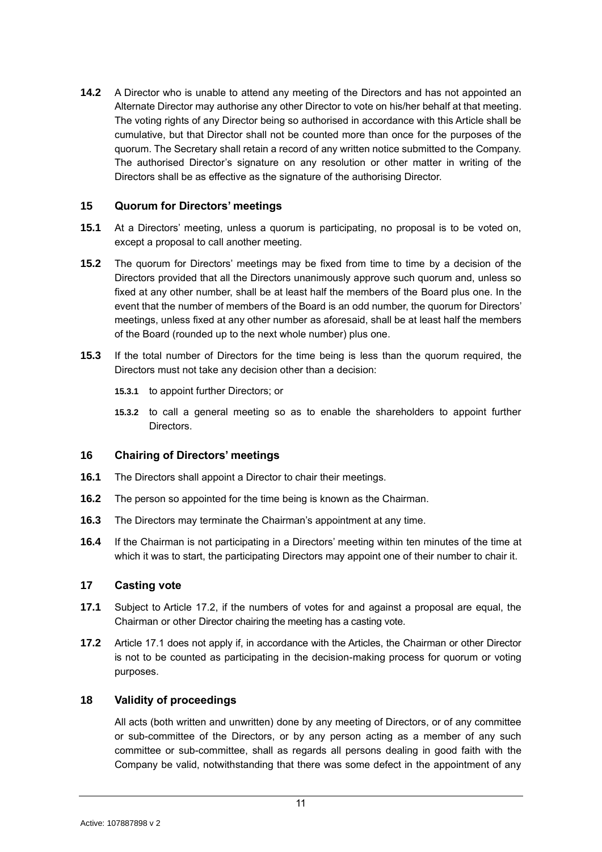**14.2** A Director who is unable to attend any meeting of the Directors and has not appointed an Alternate Director may authorise any other Director to vote on his/her behalf at that meeting. The voting rights of any Director being so authorised in accordance with this Article shall be cumulative, but that Director shall not be counted more than once for the purposes of the quorum. The Secretary shall retain a record of any written notice submitted to the Company. The authorised Director's signature on any resolution or other matter in writing of the Directors shall be as effective as the signature of the authorising Director.

# <span id="page-11-0"></span>**15 Quorum for Directors' meetings**

- **15.1** At a Directors' meeting, unless a quorum is participating, no proposal is to be voted on, except a proposal to call another meeting.
- **15.2** The quorum for Directors' meetings may be fixed from time to time by a decision of the Directors provided that all the Directors unanimously approve such quorum and, unless so fixed at any other number, shall be at least half the members of the Board plus one. In the event that the number of members of the Board is an odd number, the quorum for Directors' meetings, unless fixed at any other number as aforesaid, shall be at least half the members of the Board (rounded up to the next whole number) plus one.
- **15.3** If the total number of Directors for the time being is less than the quorum required, the Directors must not take any decision other than a decision:
	- **15.3.1** to appoint further Directors; or
	- **15.3.2** to call a general meeting so as to enable the shareholders to appoint further Directors.

# <span id="page-11-1"></span>**16 Chairing of Directors' meetings**

- **16.1** The Directors shall appoint a Director to chair their meetings.
- **16.2** The person so appointed for the time being is known as the Chairman.
- **16.3** The Directors may terminate the Chairman's appointment at any time.
- **16.4** If the Chairman is not participating in a Directors' meeting within ten minutes of the time at which it was to start, the participating Directors may appoint one of their number to chair it.

# <span id="page-11-2"></span>**17 Casting vote**

- <span id="page-11-5"></span>**17.1** Subject to Article [17.2,](#page-11-4) if the numbers of votes for and against a proposal are equal, the Chairman or other Director chairing the meeting has a casting vote.
- <span id="page-11-4"></span>**17.2** Article [17.1](#page-11-5) does not apply if, in accordance with the Articles, the Chairman or other Director is not to be counted as participating in the decision-making process for quorum or voting purposes.

# <span id="page-11-3"></span>**18 Validity of proceedings**

All acts (both written and unwritten) done by any meeting of Directors, or of any committee or sub-committee of the Directors, or by any person acting as a member of any such committee or sub-committee, shall as regards all persons dealing in good faith with the Company be valid, notwithstanding that there was some defect in the appointment of any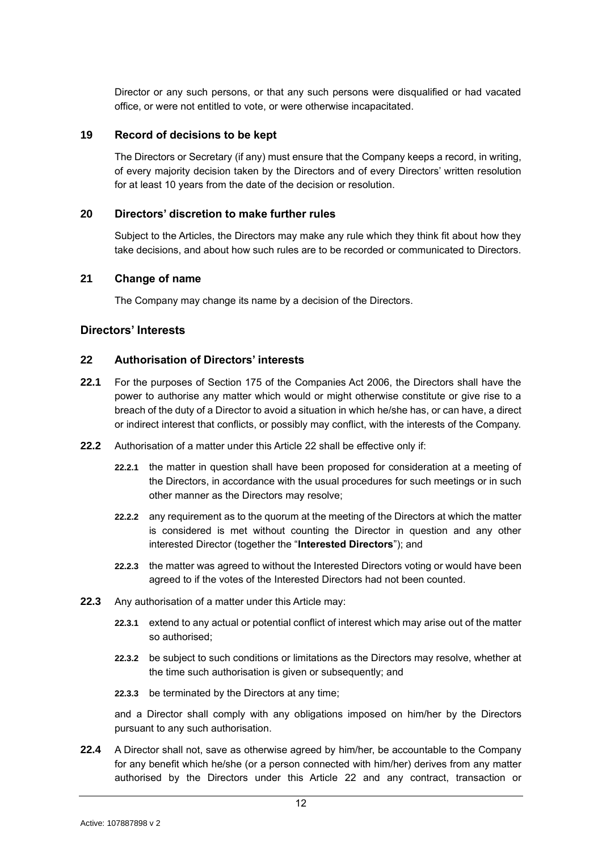Director or any such persons, or that any such persons were disqualified or had vacated office, or were not entitled to vote, or were otherwise incapacitated.

### <span id="page-12-0"></span>**19 Record of decisions to be kept**

The Directors or Secretary (if any) must ensure that the Company keeps a record, in writing, of every majority decision taken by the Directors and of every Directors' written resolution for at least 10 years from the date of the decision or resolution.

# <span id="page-12-1"></span>**20 Directors' discretion to make further rules**

Subject to the Articles, the Directors may make any rule which they think fit about how they take decisions, and about how such rules are to be recorded or communicated to Directors.

# <span id="page-12-2"></span>**21 Change of name**

The Company may change its name by a decision of the Directors.

# <span id="page-12-3"></span>**Directors' Interests**

# <span id="page-12-4"></span>**22 Authorisation of Directors' interests**

- **22.1** For the purposes of Section 175 of the Companies Act 2006, the Directors shall have the power to authorise any matter which would or might otherwise constitute or give rise to a breach of the duty of a Director to avoid a situation in which he/she has, or can have, a direct or indirect interest that conflicts, or possibly may conflict, with the interests of the Company.
- **22.2** Authorisation of a matter under this Article [22](#page-12-4) shall be effective only if:
	- **22.2.1** the matter in question shall have been proposed for consideration at a meeting of the Directors, in accordance with the usual procedures for such meetings or in such other manner as the Directors may resolve;
	- **22.2.2** any requirement as to the quorum at the meeting of the Directors at which the matter is considered is met without counting the Director in question and any other interested Director (together the "**Interested Directors**"); and
	- **22.2.3** the matter was agreed to without the Interested Directors voting or would have been agreed to if the votes of the Interested Directors had not been counted.
- **22.3** Any authorisation of a matter under this Article may:
	- **22.3.1** extend to any actual or potential conflict of interest which may arise out of the matter so authorised;
	- **22.3.2** be subject to such conditions or limitations as the Directors may resolve, whether at the time such authorisation is given or subsequently; and
	- **22.3.3** be terminated by the Directors at any time;

and a Director shall comply with any obligations imposed on him/her by the Directors pursuant to any such authorisation.

**22.4** A Director shall not, save as otherwise agreed by him/her, be accountable to the Company for any benefit which he/she (or a person connected with him/her) derives from any matter authorised by the Directors under this Article [22](#page-12-4) and any contract, transaction or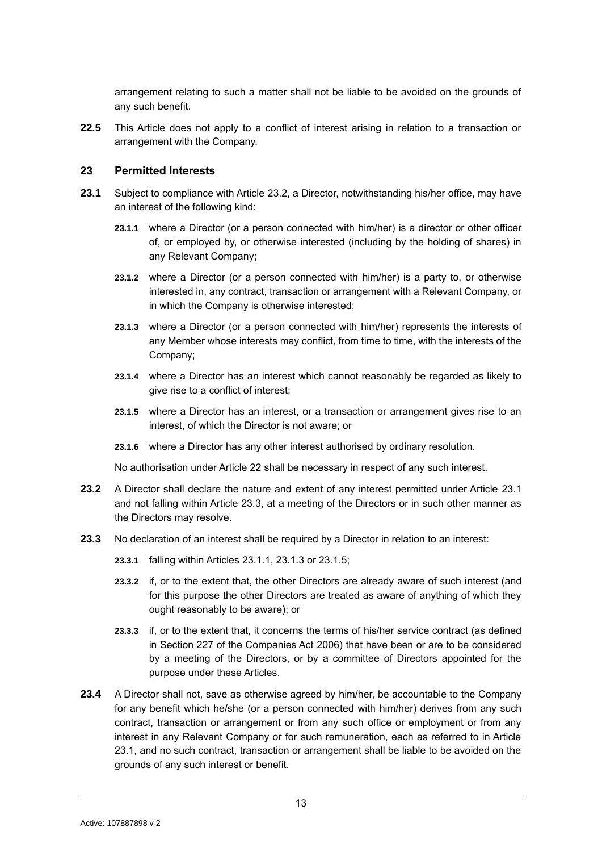arrangement relating to such a matter shall not be liable to be avoided on the grounds of any such benefit.

**22.5** This Article does not apply to a conflict of interest arising in relation to a transaction or arrangement with the Company.

# <span id="page-13-0"></span>**23 Permitted Interests**

- <span id="page-13-5"></span><span id="page-13-4"></span><span id="page-13-2"></span>**23.1** Subject to compliance with Article [23.2,](#page-13-1) a Director, notwithstanding his/her office, may have an interest of the following kind:
	- **23.1.1** where a Director (or a person connected with him/her) is a director or other officer of, or employed by, or otherwise interested (including by the holding of shares) in any Relevant Company;
	- **23.1.2** where a Director (or a person connected with him/her) is a party to, or otherwise interested in, any contract, transaction or arrangement with a Relevant Company, or in which the Company is otherwise interested;
	- **23.1.3** where a Director (or a person connected with him/her) represents the interests of any Member whose interests may conflict, from time to time, with the interests of the Company;
	- **23.1.4** where a Director has an interest which cannot reasonably be regarded as likely to give rise to a conflict of interest;
	- **23.1.5** where a Director has an interest, or a transaction or arrangement gives rise to an interest, of which the Director is not aware; or
	- **23.1.6** where a Director has any other interest authorised by ordinary resolution.

<span id="page-13-6"></span>No authorisation under Article [22](#page-12-4) shall be necessary in respect of any such interest.

- <span id="page-13-1"></span>**23.2** A Director shall declare the nature and extent of any interest permitted under Article [23.1](#page-13-2) and not falling within Article [23.3,](#page-13-3) at a meeting of the Directors or in such other manner as the Directors may resolve.
- <span id="page-13-3"></span>**23.3** No declaration of an interest shall be required by a Director in relation to an interest:
	- **23.3.1** falling within Articles [23.1.1,](#page-13-4) [23.1.3](#page-13-5) or [23.1.5;](#page-13-6)
	- **23.3.2** if, or to the extent that, the other Directors are already aware of such interest (and for this purpose the other Directors are treated as aware of anything of which they ought reasonably to be aware); or
	- **23.3.3** if, or to the extent that, it concerns the terms of his/her service contract (as defined in Section 227 of the Companies Act 2006) that have been or are to be considered by a meeting of the Directors, or by a committee of Directors appointed for the purpose under these Articles.
- **23.4** A Director shall not, save as otherwise agreed by him/her, be accountable to the Company for any benefit which he/she (or a person connected with him/her) derives from any such contract, transaction or arrangement or from any such office or employment or from any interest in any Relevant Company or for such remuneration, each as referred to in Article [23.1,](#page-13-2) and no such contract, transaction or arrangement shall be liable to be avoided on the grounds of any such interest or benefit.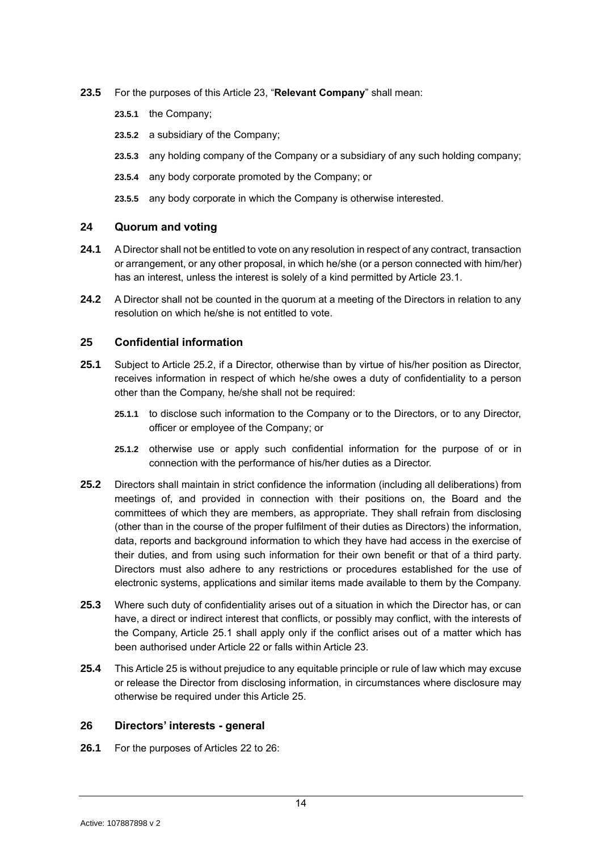- **23.5** For the purposes of this Article [23,](#page-13-0) "**Relevant Company**" shall mean:
	- **23.5.1** the Company;
	- **23.5.2** a subsidiary of the Company;
	- **23.5.3** any holding company of the Company or a subsidiary of any such holding company;
	- **23.5.4** any body corporate promoted by the Company; or
	- **23.5.5** any body corporate in which the Company is otherwise interested.

# <span id="page-14-0"></span>**24 Quorum and voting**

- **24.1** A Director shall not be entitled to vote on any resolution in respect of any contract, transaction or arrangement, or any other proposal, in which he/she (or a person connected with him/her) has an interest, unless the interest is solely of a kind permitted by Article [23.1.](#page-13-2)
- **24.2** A Director shall not be counted in the quorum at a meeting of the Directors in relation to any resolution on which he/she is not entitled to vote.

# <span id="page-14-1"></span>**25 Confidential information**

- <span id="page-14-4"></span>**25.1** Subject to Article [25.2,](#page-14-3) if a Director, otherwise than by virtue of his/her position as Director, receives information in respect of which he/she owes a duty of confidentiality to a person other than the Company, he/she shall not be required:
	- **25.1.1** to disclose such information to the Company or to the Directors, or to any Director, officer or employee of the Company; or
	- **25.1.2** otherwise use or apply such confidential information for the purpose of or in connection with the performance of his/her duties as a Director.
- <span id="page-14-3"></span>**25.2** Directors shall maintain in strict confidence the information (including all deliberations) from meetings of, and provided in connection with their positions on, the Board and the committees of which they are members, as appropriate. They shall refrain from disclosing (other than in the course of the proper fulfilment of their duties as Directors) the information, data, reports and background information to which they have had access in the exercise of their duties, and from using such information for their own benefit or that of a third party. Directors must also adhere to any restrictions or procedures established for the use of electronic systems, applications and similar items made available to them by the Company.
- **25.3** Where such duty of confidentiality arises out of a situation in which the Director has, or can have, a direct or indirect interest that conflicts, or possibly may conflict, with the interests of the Company, Article [25.1](#page-14-4) shall apply only if the conflict arises out of a matter which has been authorised under Article [22](#page-12-4) or falls within Article [23.](#page-13-0)
- **25.4** This Article [25](#page-14-1) is without prejudice to any equitable principle or rule of law which may excuse or release the Director from disclosing information, in circumstances where disclosure may otherwise be required under this Article [25.](#page-14-1)

# <span id="page-14-2"></span>**26 Directors' interests - general**

**26.1** For the purposes of Articles [22](#page-12-4) to [26:](#page-14-2)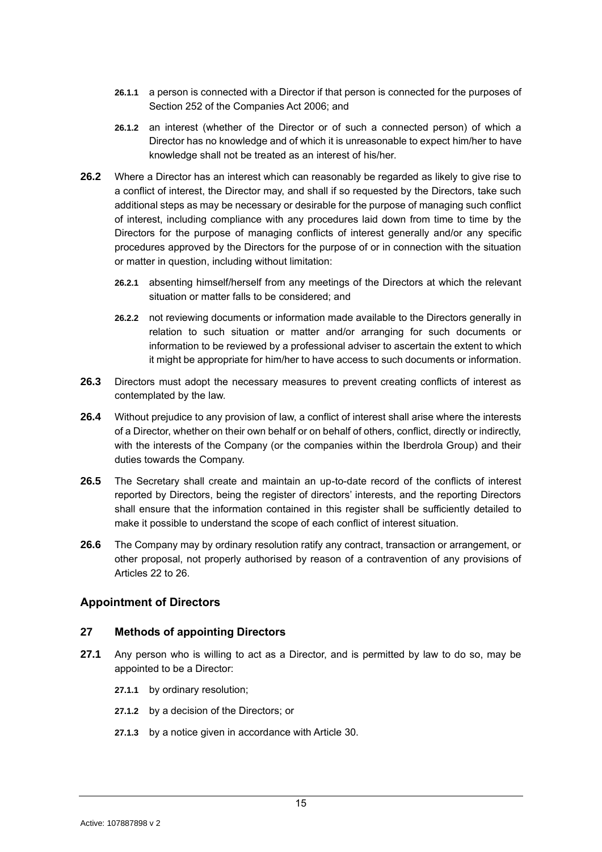- **26.1.1** a person is connected with a Director if that person is connected for the purposes of Section 252 of the Companies Act 2006; and
- **26.1.2** an interest (whether of the Director or of such a connected person) of which a Director has no knowledge and of which it is unreasonable to expect him/her to have knowledge shall not be treated as an interest of his/her.
- **26.2** Where a Director has an interest which can reasonably be regarded as likely to give rise to a conflict of interest, the Director may, and shall if so requested by the Directors, take such additional steps as may be necessary or desirable for the purpose of managing such conflict of interest, including compliance with any procedures laid down from time to time by the Directors for the purpose of managing conflicts of interest generally and/or any specific procedures approved by the Directors for the purpose of or in connection with the situation or matter in question, including without limitation:
	- **26.2.1** absenting himself/herself from any meetings of the Directors at which the relevant situation or matter falls to be considered; and
	- **26.2.2** not reviewing documents or information made available to the Directors generally in relation to such situation or matter and/or arranging for such documents or information to be reviewed by a professional adviser to ascertain the extent to which it might be appropriate for him/her to have access to such documents or information.
- **26.3** Directors must adopt the necessary measures to prevent creating conflicts of interest as contemplated by the law.
- **26.4** Without prejudice to any provision of law, a conflict of interest shall arise where the interests of a Director, whether on their own behalf or on behalf of others, conflict, directly or indirectly, with the interests of the Company (or the companies within the Iberdrola Group) and their duties towards the Company.
- **26.5** The Secretary shall create and maintain an up-to-date record of the conflicts of interest reported by Directors, being the register of directors' interests, and the reporting Directors shall ensure that the information contained in this register shall be sufficiently detailed to make it possible to understand the scope of each conflict of interest situation.
- **26.6** The Company may by ordinary resolution ratify any contract, transaction or arrangement, or other proposal, not properly authorised by reason of a contravention of any provisions of Articles [22](#page-12-4) to [26.](#page-14-2)

# <span id="page-15-0"></span>**Appointment of Directors**

### <span id="page-15-1"></span>**27 Methods of appointing Directors**

- **27.1** Any person who is willing to act as a Director, and is permitted by law to do so, may be appointed to be a Director:
	- **27.1.1** by ordinary resolution;
	- **27.1.2** by a decision of the Directors; or
	- **27.1.3** by a notice given in accordance with Article [30.](#page-17-0)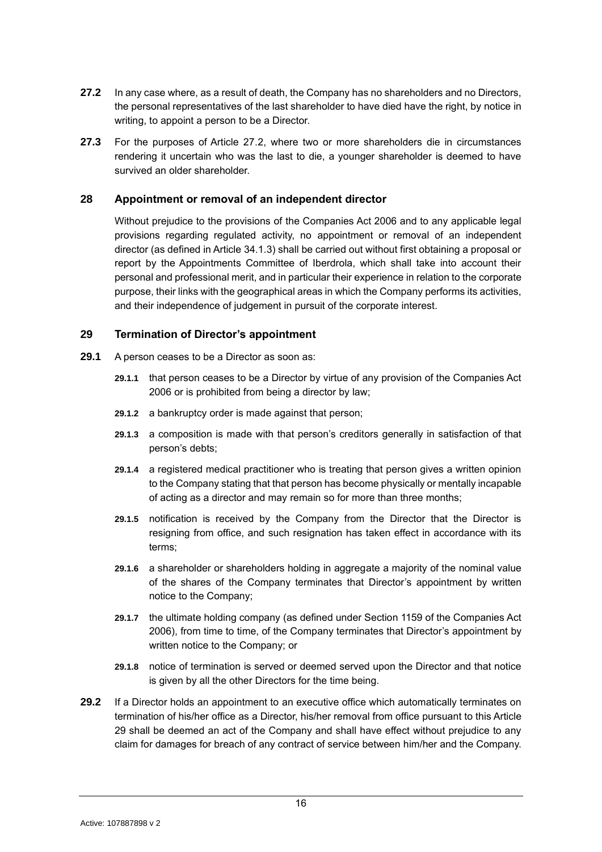- <span id="page-16-2"></span>**27.2** In any case where, as a result of death, the Company has no shareholders and no Directors, the personal representatives of the last shareholder to have died have the right, by notice in writing, to appoint a person to be a Director.
- **27.3** For the purposes of Article [27.2,](#page-16-2) where two or more shareholders die in circumstances rendering it uncertain who was the last to die, a younger shareholder is deemed to have survived an older shareholder.

# <span id="page-16-0"></span>**28 Appointment or removal of an independent director**

Without prejudice to the provisions of the Companies Act 2006 and to any applicable legal provisions regarding regulated activity, no appointment or removal of an independent director (as defined in Article [34.1.3\)](#page-18-3) shall be carried out without first obtaining a proposal or report by the Appointments Committee of Iberdrola, which shall take into account their personal and professional merit, and in particular their experience in relation to the corporate purpose, their links with the geographical areas in which the Company performs its activities, and their independence of judgement in pursuit of the corporate interest.

# <span id="page-16-1"></span>**29 Termination of Director's appointment**

- **29.1** A person ceases to be a Director as soon as:
	- **29.1.1** that person ceases to be a Director by virtue of any provision of the Companies Act 2006 or is prohibited from being a director by law;
	- **29.1.2** a bankruptcy order is made against that person;
	- **29.1.3** a composition is made with that person's creditors generally in satisfaction of that person's debts;
	- **29.1.4** a registered medical practitioner who is treating that person gives a written opinion to the Company stating that that person has become physically or mentally incapable of acting as a director and may remain so for more than three months;
	- **29.1.5** notification is received by the Company from the Director that the Director is resigning from office, and such resignation has taken effect in accordance with its terms;
	- **29.1.6** a shareholder or shareholders holding in aggregate a majority of the nominal value of the shares of the Company terminates that Director's appointment by written notice to the Company;
	- **29.1.7** the ultimate holding company (as defined under Section 1159 of the Companies Act 2006), from time to time, of the Company terminates that Director's appointment by written notice to the Company; or
	- **29.1.8** notice of termination is served or deemed served upon the Director and that notice is given by all the other Directors for the time being.
- **29.2** If a Director holds an appointment to an executive office which automatically terminates on termination of his/her office as a Director, his/her removal from office pursuant to this Article [29](#page-16-1) shall be deemed an act of the Company and shall have effect without prejudice to any claim for damages for breach of any contract of service between him/her and the Company.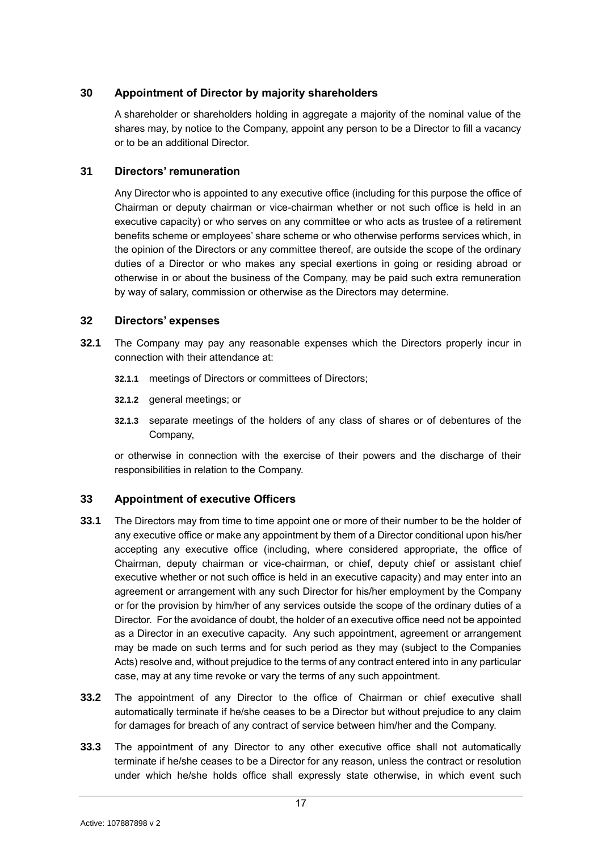# <span id="page-17-0"></span>**30 Appointment of Director by majority shareholders**

A shareholder or shareholders holding in aggregate a majority of the nominal value of the shares may, by notice to the Company, appoint any person to be a Director to fill a vacancy or to be an additional Director.

# <span id="page-17-1"></span>**31 Directors' remuneration**

Any Director who is appointed to any executive office (including for this purpose the office of Chairman or deputy chairman or vice-chairman whether or not such office is held in an executive capacity) or who serves on any committee or who acts as trustee of a retirement benefits scheme or employees' share scheme or who otherwise performs services which, in the opinion of the Directors or any committee thereof, are outside the scope of the ordinary duties of a Director or who makes any special exertions in going or residing abroad or otherwise in or about the business of the Company, may be paid such extra remuneration by way of salary, commission or otherwise as the Directors may determine.

# <span id="page-17-2"></span>**32 Directors' expenses**

- **32.1** The Company may pay any reasonable expenses which the Directors properly incur in connection with their attendance at:
	- **32.1.1** meetings of Directors or committees of Directors;
	- **32.1.2** general meetings; or
	- **32.1.3** separate meetings of the holders of any class of shares or of debentures of the Company,

or otherwise in connection with the exercise of their powers and the discharge of their responsibilities in relation to the Company.

# <span id="page-17-3"></span>**33 Appointment of executive Officers**

- **33.1** The Directors may from time to time appoint one or more of their number to be the holder of any executive office or make any appointment by them of a Director conditional upon his/her accepting any executive office (including, where considered appropriate, the office of Chairman, deputy chairman or vice-chairman, or chief, deputy chief or assistant chief executive whether or not such office is held in an executive capacity) and may enter into an agreement or arrangement with any such Director for his/her employment by the Company or for the provision by him/her of any services outside the scope of the ordinary duties of a Director. For the avoidance of doubt, the holder of an executive office need not be appointed as a Director in an executive capacity. Any such appointment, agreement or arrangement may be made on such terms and for such period as they may (subject to the Companies Acts) resolve and, without prejudice to the terms of any contract entered into in any particular case, may at any time revoke or vary the terms of any such appointment.
- **33.2** The appointment of any Director to the office of Chairman or chief executive shall automatically terminate if he/she ceases to be a Director but without prejudice to any claim for damages for breach of any contract of service between him/her and the Company.
- **33.3** The appointment of any Director to any other executive office shall not automatically terminate if he/she ceases to be a Director for any reason, unless the contract or resolution under which he/she holds office shall expressly state otherwise, in which event such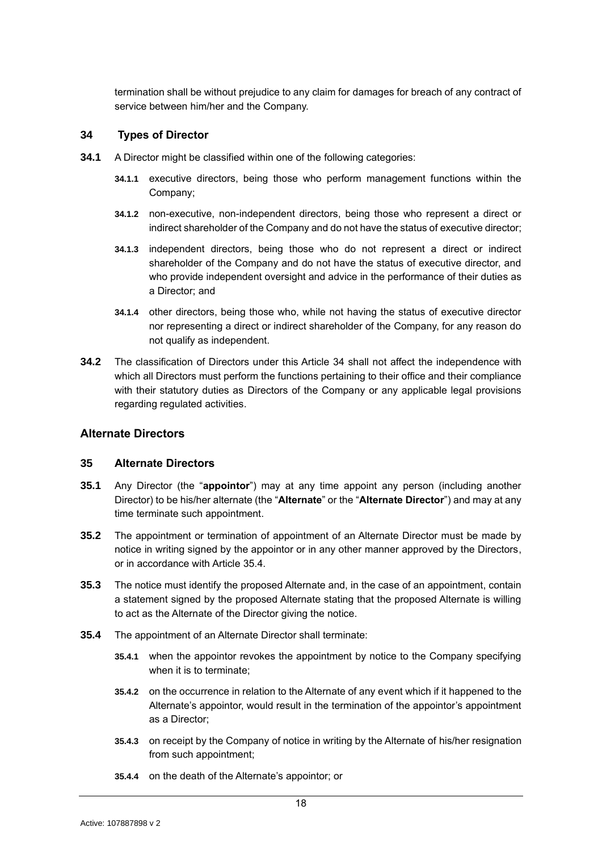<span id="page-18-0"></span>termination shall be without prejudice to any claim for damages for breach of any contract of service between him/her and the Company.

# **34 Types of Director**

- <span id="page-18-3"></span>**34.1** A Director might be classified within one of the following categories:
	- **34.1.1** executive directors, being those who perform management functions within the Company;
	- **34.1.2** non-executive, non-independent directors, being those who represent a direct or indirect shareholder of the Company and do not have the status of executive director;
	- **34.1.3** independent directors, being those who do not represent a direct or indirect shareholder of the Company and do not have the status of executive director, and who provide independent oversight and advice in the performance of their duties as a Director; and
	- **34.1.4** other directors, being those who, while not having the status of executive director nor representing a direct or indirect shareholder of the Company, for any reason do not qualify as independent.
- **34.2** The classification of Directors under this Article [34](#page-18-0) shall not affect the independence with which all Directors must perform the functions pertaining to their office and their compliance with their statutory duties as Directors of the Company or any applicable legal provisions regarding regulated activities.

# <span id="page-18-1"></span>**Alternate Directors**

### <span id="page-18-2"></span>**35 Alternate Directors**

- **35.1** Any Director (the "**appointor**") may at any time appoint any person (including another Director) to be his/her alternate (the "**Alternate**" or the "**Alternate Director**") and may at any time terminate such appointment.
- **35.2** The appointment or termination of appointment of an Alternate Director must be made by notice in writing signed by the appointor or in any other manner approved by the Directors, or in accordance with Article [35.4.](#page-18-4)
- **35.3** The notice must identify the proposed Alternate and, in the case of an appointment, contain a statement signed by the proposed Alternate stating that the proposed Alternate is willing to act as the Alternate of the Director giving the notice.
- <span id="page-18-4"></span>**35.4** The appointment of an Alternate Director shall terminate:
	- **35.4.1** when the appointor revokes the appointment by notice to the Company specifying when it is to terminate;
	- **35.4.2** on the occurrence in relation to the Alternate of any event which if it happened to the Alternate's appointor, would result in the termination of the appointor's appointment as a Director;
	- **35.4.3** on receipt by the Company of notice in writing by the Alternate of his/her resignation from such appointment;
	- **35.4.4** on the death of the Alternate's appointor; or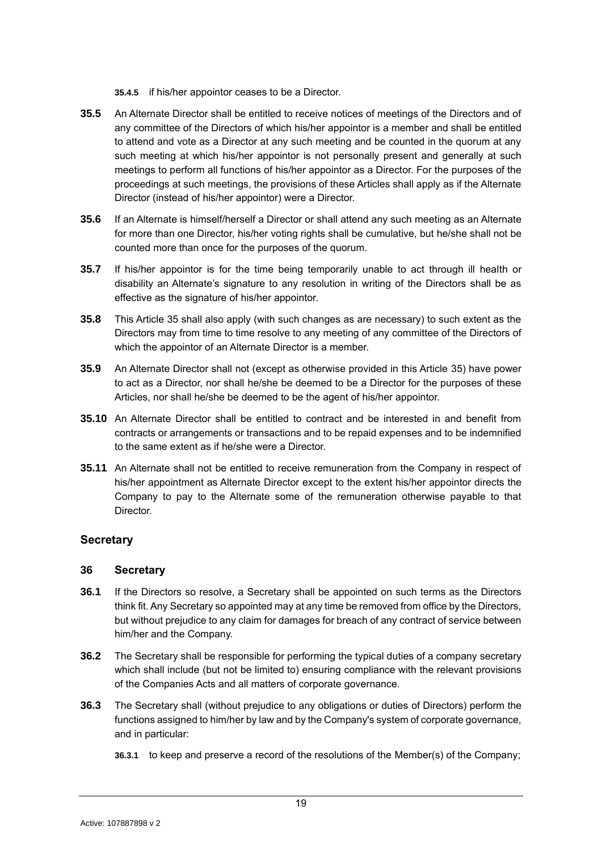**35.4.5** if his/her appointor ceases to be a Director.

- **35.5** An Alternate Director shall be entitled to receive notices of meetings of the Directors and of any committee of the Directors of which his/her appointor is a member and shall be entitled to attend and vote as a Director at any such meeting and be counted in the quorum at any such meeting at which his/her appointor is not personally present and generally at such meetings to perform all functions of his/her appointor as a Director. For the purposes of the proceedings at such meetings, the provisions of these Articles shall apply as if the Alternate Director (instead of his/her appointor) were a Director.
- **35.6** If an Alternate is himself/herself a Director or shall attend any such meeting as an Alternate for more than one Director, his/her voting rights shall be cumulative, but he/she shall not be counted more than once for the purposes of the quorum.
- **35.7** If his/her appointor is for the time being temporarily unable to act through ill health or disability an Alternate's signature to any resolution in writing of the Directors shall be as effective as the signature of his/her appointor.
- **35.8** This Article [35](#page-18-2) shall also apply (with such changes as are necessary) to such extent as the Directors may from time to time resolve to any meeting of any committee of the Directors of which the appointor of an Alternate Director is a member.
- **35.9** An Alternate Director shall not (except as otherwise provided in this Article [35\)](#page-18-2) have power to act as a Director, nor shall he/she be deemed to be a Director for the purposes of these Articles, nor shall he/she be deemed to be the agent of his/her appointor.
- **35.10** An Alternate Director shall be entitled to contract and be interested in and benefit from contracts or arrangements or transactions and to be repaid expenses and to be indemnified to the same extent as if he/she were a Director.
- **35.11** An Alternate shall not be entitled to receive remuneration from the Company in respect of his/her appointment as Alternate Director except to the extent his/her appointor directs the Company to pay to the Alternate some of the remuneration otherwise payable to that Director.

# <span id="page-19-0"></span>**Secretary**

# <span id="page-19-1"></span>**36 Secretary**

- **36.1** If the Directors so resolve, a Secretary shall be appointed on such terms as the Directors think fit. Any Secretary so appointed may at any time be removed from office by the Directors, but without prejudice to any claim for damages for breach of any contract of service between him/her and the Company.
- **36.2** The Secretary shall be responsible for performing the typical duties of a company secretary which shall include (but not be limited to) ensuring compliance with the relevant provisions of the Companies Acts and all matters of corporate governance.
- **36.3** The Secretary shall (without prejudice to any obligations or duties of Directors) perform the functions assigned to him/her by law and by the Company's system of corporate governance, and in particular:
	- **36.3.1** to keep and preserve a record of the resolutions of the Member(s) of the Company;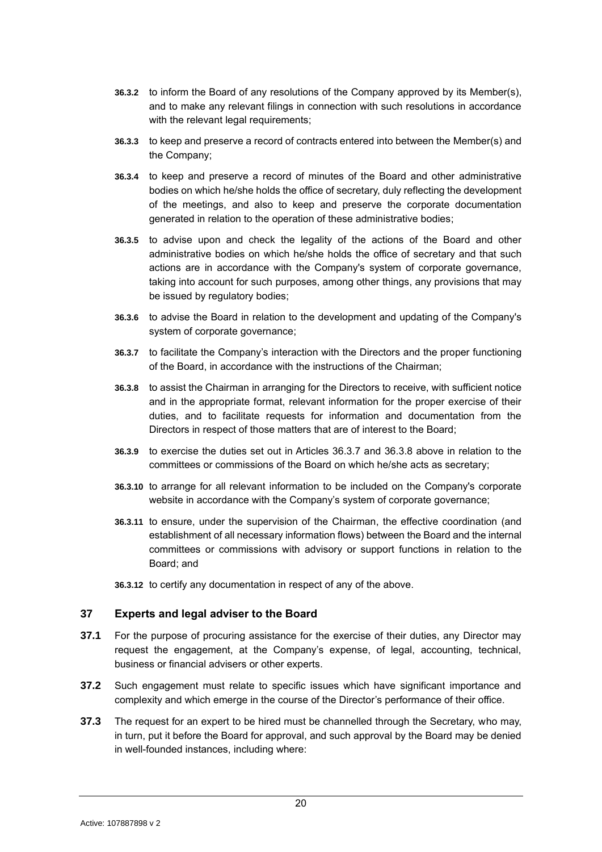- **36.3.2** to inform the Board of any resolutions of the Company approved by its Member(s), and to make any relevant filings in connection with such resolutions in accordance with the relevant legal requirements;
- **36.3.3** to keep and preserve a record of contracts entered into between the Member(s) and the Company;
- **36.3.4** to keep and preserve a record of minutes of the Board and other administrative bodies on which he/she holds the office of secretary, duly reflecting the development of the meetings, and also to keep and preserve the corporate documentation generated in relation to the operation of these administrative bodies;
- **36.3.5** to advise upon and check the legality of the actions of the Board and other administrative bodies on which he/she holds the office of secretary and that such actions are in accordance with the Company's system of corporate governance, taking into account for such purposes, among other things, any provisions that may be issued by regulatory bodies;
- **36.3.6** to advise the Board in relation to the development and updating of the Company's system of corporate governance;
- <span id="page-20-1"></span>**36.3.7** to facilitate the Company's interaction with the Directors and the proper functioning of the Board, in accordance with the instructions of the Chairman;
- <span id="page-20-2"></span>**36.3.8** to assist the Chairman in arranging for the Directors to receive, with sufficient notice and in the appropriate format, relevant information for the proper exercise of their duties, and to facilitate requests for information and documentation from the Directors in respect of those matters that are of interest to the Board;
- **36.3.9** to exercise the duties set out in Articles [36.3.7](#page-20-1) and [36.3.8](#page-20-2) above in relation to the committees or commissions of the Board on which he/she acts as secretary;
- **36.3.10** to arrange for all relevant information to be included on the Company's corporate website in accordance with the Company's system of corporate governance;
- **36.3.11** to ensure, under the supervision of the Chairman, the effective coordination (and establishment of all necessary information flows) between the Board and the internal committees or commissions with advisory or support functions in relation to the Board; and
- **36.3.12** to certify any documentation in respect of any of the above.

### <span id="page-20-0"></span>**37 Experts and legal adviser to the Board**

- **37.1** For the purpose of procuring assistance for the exercise of their duties, any Director may request the engagement, at the Company's expense, of legal, accounting, technical, business or financial advisers or other experts.
- **37.2** Such engagement must relate to specific issues which have significant importance and complexity and which emerge in the course of the Director's performance of their office.
- **37.3** The request for an expert to be hired must be channelled through the Secretary, who may, in turn, put it before the Board for approval, and such approval by the Board may be denied in well-founded instances, including where: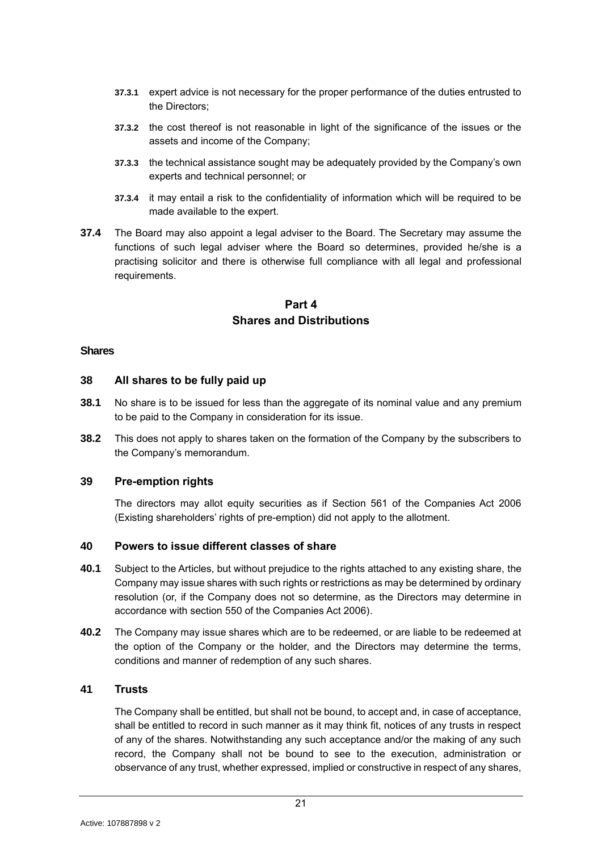- **37.3.1** expert advice is not necessary for the proper performance of the duties entrusted to the Directors;
- **37.3.2** the cost thereof is not reasonable in light of the significance of the issues or the assets and income of the Company;
- **37.3.3** the technical assistance sought may be adequately provided by the Company's own experts and technical personnel; or
- **37.3.4** it may entail a risk to the confidentiality of information which will be required to be made available to the expert.
- **37.4** The Board may also appoint a legal adviser to the Board. The Secretary may assume the functions of such legal adviser where the Board so determines, provided he/she is a practising solicitor and there is otherwise full compliance with all legal and professional requirements.

# **Part 4 Shares and Distributions**

# <span id="page-21-1"></span><span id="page-21-0"></span>**Shares**

# <span id="page-21-2"></span>**38 All shares to be fully paid up**

- **38.1** No share is to be issued for less than the aggregate of its nominal value and any premium to be paid to the Company in consideration for its issue.
- **38.2** This does not apply to shares taken on the formation of the Company by the subscribers to the Company's memorandum.

# <span id="page-21-3"></span>**39 Pre-emption rights**

The directors may allot equity securities as if Section 561 of the Companies Act 2006 (Existing shareholders' rights of pre-emption) did not apply to the allotment.

### <span id="page-21-4"></span>**40 Powers to issue different classes of share**

- **40.1** Subject to the Articles, but without prejudice to the rights attached to any existing share, the Company may issue shares with such rights or restrictions as may be determined by ordinary resolution (or, if the Company does not so determine, as the Directors may determine in accordance with section 550 of the Companies Act 2006).
- **40.2** The Company may issue shares which are to be redeemed, or are liable to be redeemed at the option of the Company or the holder, and the Directors may determine the terms, conditions and manner of redemption of any such shares.

# <span id="page-21-5"></span>**41 Trusts**

The Company shall be entitled, but shall not be bound, to accept and, in case of acceptance, shall be entitled to record in such manner as it may think fit, notices of any trusts in respect of any of the shares. Notwithstanding any such acceptance and/or the making of any such record, the Company shall not be bound to see to the execution, administration or observance of any trust, whether expressed, implied or constructive in respect of any shares,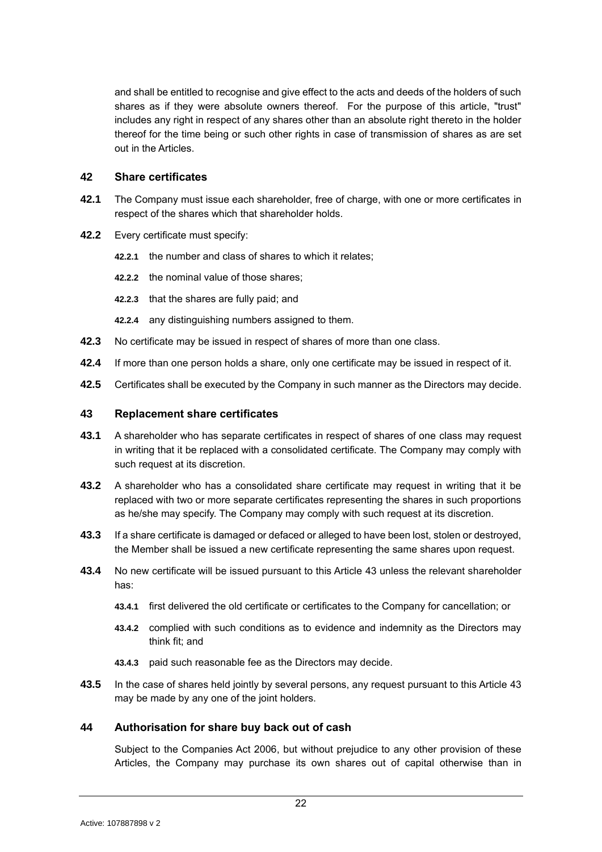and shall be entitled to recognise and give effect to the acts and deeds of the holders of such shares as if they were absolute owners thereof. For the purpose of this article, "trust" includes any right in respect of any shares other than an absolute right thereto in the holder thereof for the time being or such other rights in case of transmission of shares as are set out in the Articles.

### <span id="page-22-0"></span>**42 Share certificates**

- **42.1** The Company must issue each shareholder, free of charge, with one or more certificates in respect of the shares which that shareholder holds.
- **42.2** Every certificate must specify:
	- **42.2.1** the number and class of shares to which it relates;
	- **42.2.2** the nominal value of those shares;
	- **42.2.3** that the shares are fully paid; and
	- **42.2.4** any distinguishing numbers assigned to them.
- **42.3** No certificate may be issued in respect of shares of more than one class.
- **42.4** If more than one person holds a share, only one certificate may be issued in respect of it.
- **42.5** Certificates shall be executed by the Company in such manner as the Directors may decide.

# <span id="page-22-1"></span>**43 Replacement share certificates**

- **43.1** A shareholder who has separate certificates in respect of shares of one class may request in writing that it be replaced with a consolidated certificate. The Company may comply with such request at its discretion.
- **43.2** A shareholder who has a consolidated share certificate may request in writing that it be replaced with two or more separate certificates representing the shares in such proportions as he/she may specify. The Company may comply with such request at its discretion.
- **43.3** If a share certificate is damaged or defaced or alleged to have been lost, stolen or destroyed, the Member shall be issued a new certificate representing the same shares upon request.
- **43.4** No new certificate will be issued pursuant to this Article [43](#page-22-1) unless the relevant shareholder has:
	- **43.4.1** first delivered the old certificate or certificates to the Company for cancellation; or
	- **43.4.2** complied with such conditions as to evidence and indemnity as the Directors may think fit; and
	- **43.4.3** paid such reasonable fee as the Directors may decide.
- **43.5** In the case of shares held jointly by several persons, any request pursuant to this Article [43](#page-22-1) may be made by any one of the joint holders.

### <span id="page-22-2"></span>**44 Authorisation for share buy back out of cash**

Subject to the Companies Act 2006, but without prejudice to any other provision of these Articles, the Company may purchase its own shares out of capital otherwise than in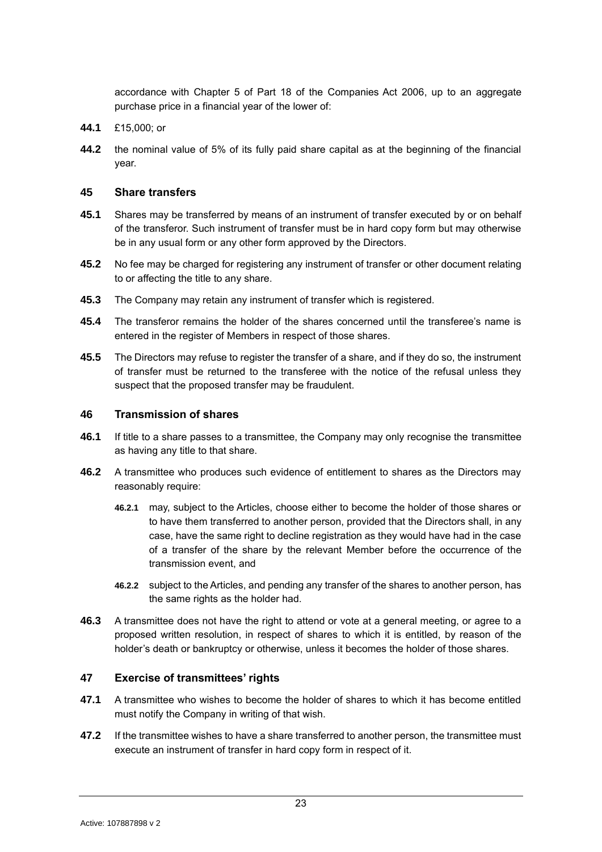accordance with Chapter 5 of Part 18 of the Companies Act 2006, up to an aggregate purchase price in a financial year of the lower of:

- **44.1** £15,000; or
- **44.2** the nominal value of 5% of its fully paid share capital as at the beginning of the financial year.

# <span id="page-23-0"></span>**45 Share transfers**

- **45.1** Shares may be transferred by means of an instrument of transfer executed by or on behalf of the transferor. Such instrument of transfer must be in hard copy form but may otherwise be in any usual form or any other form approved by the Directors.
- **45.2** No fee may be charged for registering any instrument of transfer or other document relating to or affecting the title to any share.
- **45.3** The Company may retain any instrument of transfer which is registered.
- **45.4** The transferor remains the holder of the shares concerned until the transferee's name is entered in the register of Members in respect of those shares.
- **45.5** The Directors may refuse to register the transfer of a share, and if they do so, the instrument of transfer must be returned to the transferee with the notice of the refusal unless they suspect that the proposed transfer may be fraudulent.

# <span id="page-23-1"></span>**46 Transmission of shares**

- **46.1** If title to a share passes to a transmittee, the Company may only recognise the transmittee as having any title to that share.
- **46.2** A transmittee who produces such evidence of entitlement to shares as the Directors may reasonably require:
	- **46.2.1** may, subject to the Articles, choose either to become the holder of those shares or to have them transferred to another person, provided that the Directors shall, in any case, have the same right to decline registration as they would have had in the case of a transfer of the share by the relevant Member before the occurrence of the transmission event, and
	- **46.2.2** subject to the Articles, and pending any transfer of the shares to another person, has the same rights as the holder had.
- **46.3** A transmittee does not have the right to attend or vote at a general meeting, or agree to a proposed written resolution, in respect of shares to which it is entitled, by reason of the holder's death or bankruptcy or otherwise, unless it becomes the holder of those shares.

# <span id="page-23-2"></span>**47 Exercise of transmittees' rights**

- **47.1** A transmittee who wishes to become the holder of shares to which it has become entitled must notify the Company in writing of that wish.
- **47.2** If the transmittee wishes to have a share transferred to another person, the transmittee must execute an instrument of transfer in hard copy form in respect of it.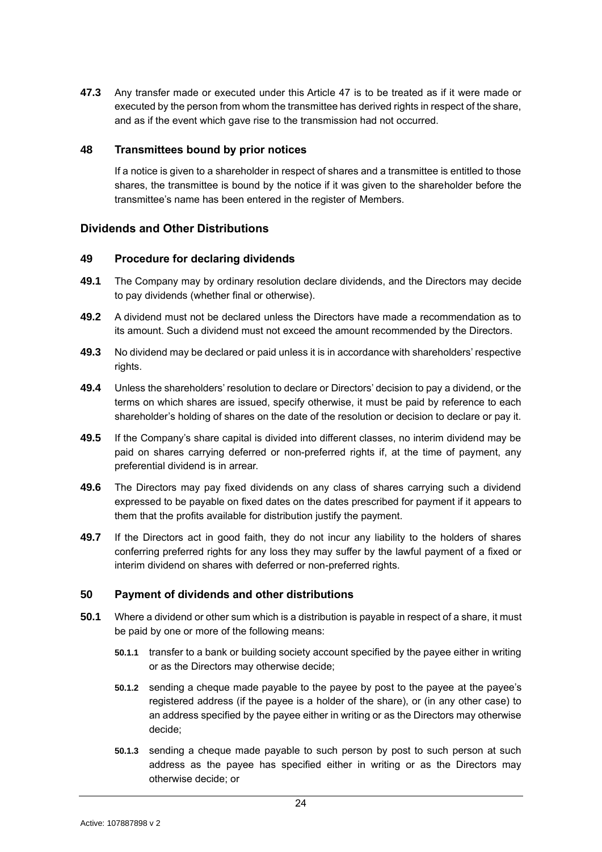**47.3** Any transfer made or executed under this Article [47](#page-23-2) is to be treated as if it were made or executed by the person from whom the transmittee has derived rights in respect of the share, and as if the event which gave rise to the transmission had not occurred.

# <span id="page-24-0"></span>**48 Transmittees bound by prior notices**

If a notice is given to a shareholder in respect of shares and a transmittee is entitled to those shares, the transmittee is bound by the notice if it was given to the shareholder before the transmittee's name has been entered in the register of Members.

# <span id="page-24-1"></span>**Dividends and Other Distributions**

# <span id="page-24-2"></span>**49 Procedure for declaring dividends**

- **49.1** The Company may by ordinary resolution declare dividends, and the Directors may decide to pay dividends (whether final or otherwise).
- **49.2** A dividend must not be declared unless the Directors have made a recommendation as to its amount. Such a dividend must not exceed the amount recommended by the Directors.
- **49.3** No dividend may be declared or paid unless it is in accordance with shareholders' respective rights.
- **49.4** Unless the shareholders' resolution to declare or Directors' decision to pay a dividend, or the terms on which shares are issued, specify otherwise, it must be paid by reference to each shareholder's holding of shares on the date of the resolution or decision to declare or pay it.
- **49.5** If the Company's share capital is divided into different classes, no interim dividend may be paid on shares carrying deferred or non-preferred rights if, at the time of payment, any preferential dividend is in arrear.
- **49.6** The Directors may pay fixed dividends on any class of shares carrying such a dividend expressed to be payable on fixed dates on the dates prescribed for payment if it appears to them that the profits available for distribution justify the payment.
- **49.7** If the Directors act in good faith, they do not incur any liability to the holders of shares conferring preferred rights for any loss they may suffer by the lawful payment of a fixed or interim dividend on shares with deferred or non-preferred rights.

# <span id="page-24-3"></span>**50 Payment of dividends and other distributions**

- **50.1** Where a dividend or other sum which is a distribution is payable in respect of a share, it must be paid by one or more of the following means:
	- **50.1.1** transfer to a bank or building society account specified by the payee either in writing or as the Directors may otherwise decide;
	- **50.1.2** sending a cheque made payable to the payee by post to the payee at the payee's registered address (if the payee is a holder of the share), or (in any other case) to an address specified by the payee either in writing or as the Directors may otherwise decide;
	- **50.1.3** sending a cheque made payable to such person by post to such person at such address as the payee has specified either in writing or as the Directors may otherwise decide; or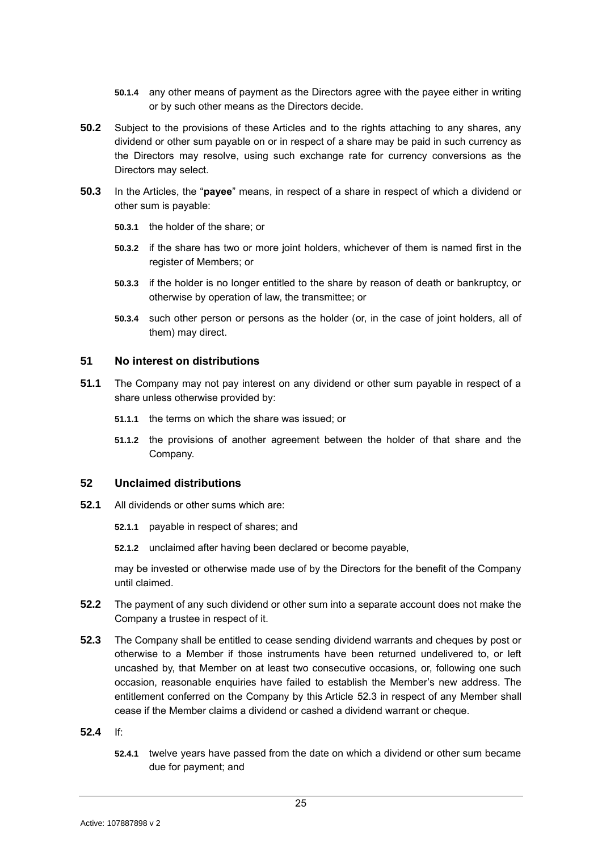- **50.1.4** any other means of payment as the Directors agree with the payee either in writing or by such other means as the Directors decide.
- **50.2** Subject to the provisions of these Articles and to the rights attaching to any shares, any dividend or other sum payable on or in respect of a share may be paid in such currency as the Directors may resolve, using such exchange rate for currency conversions as the Directors may select.
- **50.3** In the Articles, the "**payee**" means, in respect of a share in respect of which a dividend or other sum is payable:
	- **50.3.1** the holder of the share; or
	- **50.3.2** if the share has two or more joint holders, whichever of them is named first in the register of Members; or
	- **50.3.3** if the holder is no longer entitled to the share by reason of death or bankruptcy, or otherwise by operation of law, the transmittee; or
	- **50.3.4** such other person or persons as the holder (or, in the case of joint holders, all of them) may direct.

# <span id="page-25-0"></span>**51 No interest on distributions**

- **51.1** The Company may not pay interest on any dividend or other sum payable in respect of a share unless otherwise provided by:
	- **51.1.1** the terms on which the share was issued; or
	- **51.1.2** the provisions of another agreement between the holder of that share and the Company.

### <span id="page-25-1"></span>**52 Unclaimed distributions**

- **52.1** All dividends or other sums which are:
	- **52.1.1** payable in respect of shares; and
	- **52.1.2** unclaimed after having been declared or become payable,

may be invested or otherwise made use of by the Directors for the benefit of the Company until claimed.

- **52.2** The payment of any such dividend or other sum into a separate account does not make the Company a trustee in respect of it.
- <span id="page-25-2"></span>**52.3** The Company shall be entitled to cease sending dividend warrants and cheques by post or otherwise to a Member if those instruments have been returned undelivered to, or left uncashed by, that Member on at least two consecutive occasions, or, following one such occasion, reasonable enquiries have failed to establish the Member's new address. The entitlement conferred on the Company by this Article [52.3](#page-25-2) in respect of any Member shall cease if the Member claims a dividend or cashed a dividend warrant or cheque.
- **52.4** If:
	- **52.4.1** twelve years have passed from the date on which a dividend or other sum became due for payment; and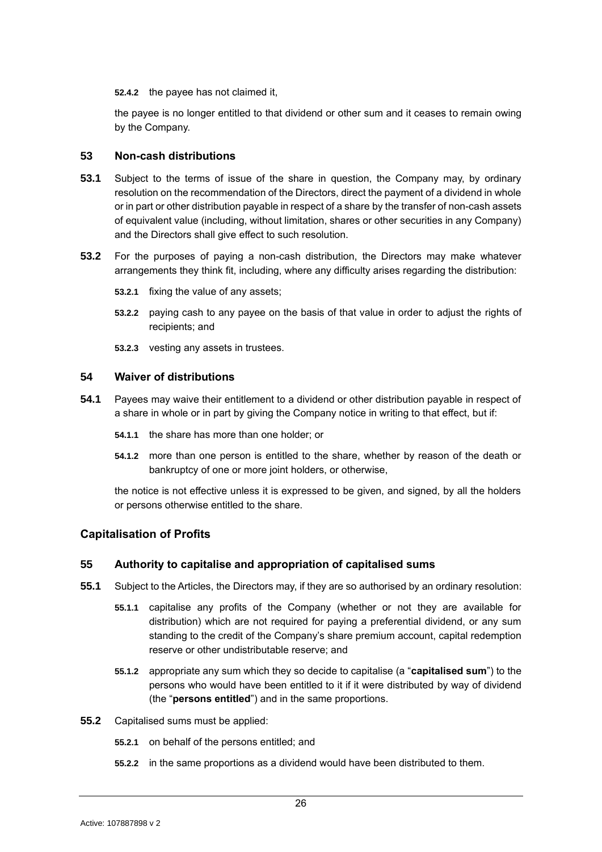**52.4.2** the payee has not claimed it,

the payee is no longer entitled to that dividend or other sum and it ceases to remain owing by the Company.

# <span id="page-26-0"></span>**53 Non-cash distributions**

- **53.1** Subject to the terms of issue of the share in question, the Company may, by ordinary resolution on the recommendation of the Directors, direct the payment of a dividend in whole or in part or other distribution payable in respect of a share by the transfer of non-cash assets of equivalent value (including, without limitation, shares or other securities in any Company) and the Directors shall give effect to such resolution.
- **53.2** For the purposes of paying a non-cash distribution, the Directors may make whatever arrangements they think fit, including, where any difficulty arises regarding the distribution:
	- **53.2.1** fixing the value of any assets;
	- **53.2.2** paying cash to any payee on the basis of that value in order to adjust the rights of recipients; and
	- **53.2.3** vesting any assets in trustees.

### <span id="page-26-1"></span>**54 Waiver of distributions**

- **54.1** Payees may waive their entitlement to a dividend or other distribution payable in respect of a share in whole or in part by giving the Company notice in writing to that effect, but if:
	- **54.1.1** the share has more than one holder; or
	- **54.1.2** more than one person is entitled to the share, whether by reason of the death or bankruptcy of one or more joint holders, or otherwise,

the notice is not effective unless it is expressed to be given, and signed, by all the holders or persons otherwise entitled to the share.

# <span id="page-26-2"></span>**Capitalisation of Profits**

### <span id="page-26-3"></span>**55 Authority to capitalise and appropriation of capitalised sums**

- **55.1** Subject to the Articles, the Directors may, if they are so authorised by an ordinary resolution:
	- **55.1.1** capitalise any profits of the Company (whether or not they are available for distribution) which are not required for paying a preferential dividend, or any sum standing to the credit of the Company's share premium account, capital redemption reserve or other undistributable reserve; and
	- **55.1.2** appropriate any sum which they so decide to capitalise (a "**capitalised sum**") to the persons who would have been entitled to it if it were distributed by way of dividend (the "**persons entitled**") and in the same proportions.
- **55.2** Capitalised sums must be applied:
	- **55.2.1** on behalf of the persons entitled; and
	- **55.2.2** in the same proportions as a dividend would have been distributed to them.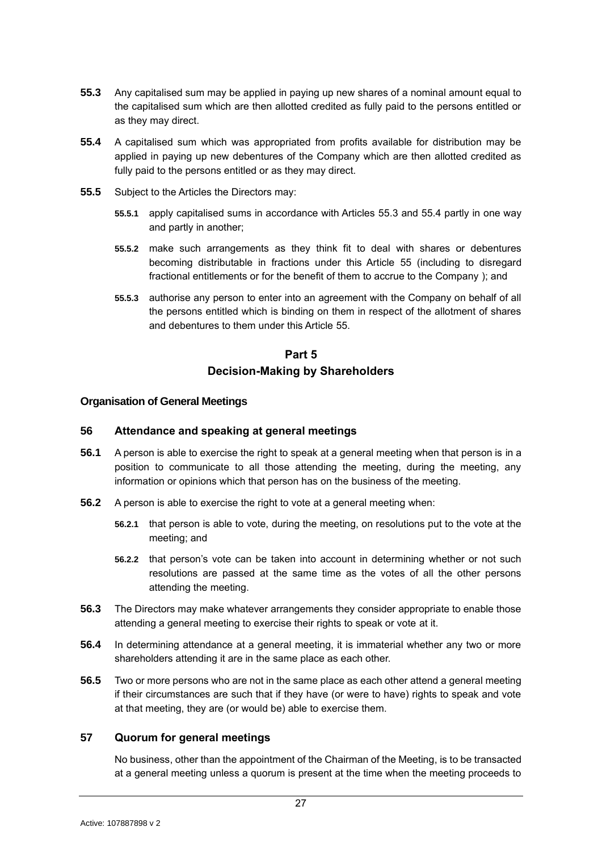- <span id="page-27-4"></span>**55.3** Any capitalised sum may be applied in paying up new shares of a nominal amount equal to the capitalised sum which are then allotted credited as fully paid to the persons entitled or as they may direct.
- <span id="page-27-5"></span>**55.4** A capitalised sum which was appropriated from profits available for distribution may be applied in paying up new debentures of the Company which are then allotted credited as fully paid to the persons entitled or as they may direct.
- **55.5** Subject to the Articles the Directors may:
	- **55.5.1** apply capitalised sums in accordance with Articles [55.3](#page-27-4) and [55.4](#page-27-5) partly in one way and partly in another;
	- **55.5.2** make such arrangements as they think fit to deal with shares or debentures becoming distributable in fractions under this Article [55](#page-26-3) (including to disregard fractional entitlements or for the benefit of them to accrue to the Company ); and
	- **55.5.3** authorise any person to enter into an agreement with the Company on behalf of all the persons entitled which is binding on them in respect of the allotment of shares and debentures to them under this Article [55.](#page-26-3)

# **Part 5 Decision-Making by Shareholders**

# <span id="page-27-1"></span><span id="page-27-0"></span>**Organisation of General Meetings**

# <span id="page-27-2"></span>**56 Attendance and speaking at general meetings**

- **56.1** A person is able to exercise the right to speak at a general meeting when that person is in a position to communicate to all those attending the meeting, during the meeting, any information or opinions which that person has on the business of the meeting.
- **56.2** A person is able to exercise the right to vote at a general meeting when:
	- **56.2.1** that person is able to vote, during the meeting, on resolutions put to the vote at the meeting; and
	- **56.2.2** that person's vote can be taken into account in determining whether or not such resolutions are passed at the same time as the votes of all the other persons attending the meeting.
- **56.3** The Directors may make whatever arrangements they consider appropriate to enable those attending a general meeting to exercise their rights to speak or vote at it.
- **56.4** In determining attendance at a general meeting, it is immaterial whether any two or more shareholders attending it are in the same place as each other.
- **56.5** Two or more persons who are not in the same place as each other attend a general meeting if their circumstances are such that if they have (or were to have) rights to speak and vote at that meeting, they are (or would be) able to exercise them.

# <span id="page-27-3"></span>**57 Quorum for general meetings**

No business, other than the appointment of the Chairman of the Meeting, is to be transacted at a general meeting unless a quorum is present at the time when the meeting proceeds to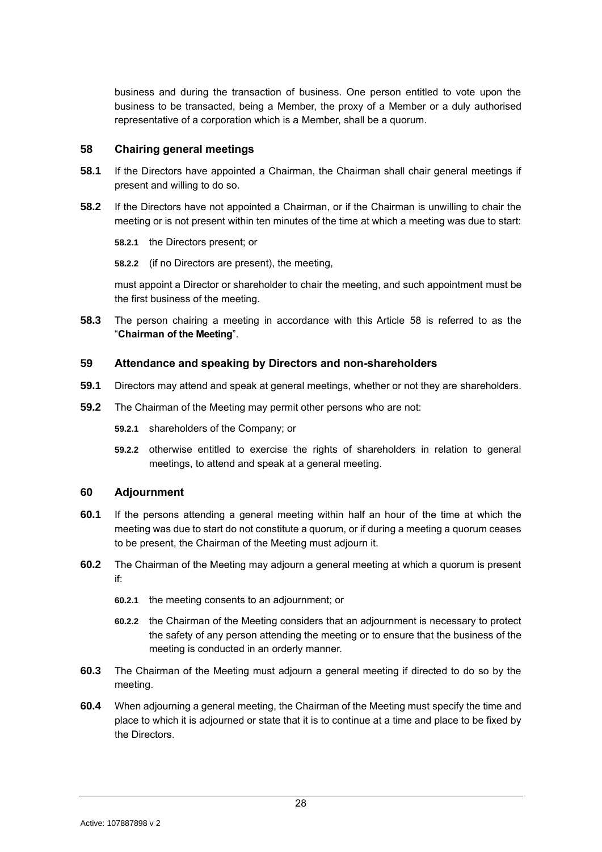business and during the transaction of business. One person entitled to vote upon the business to be transacted, being a Member, the proxy of a Member or a duly authorised representative of a corporation which is a Member, shall be a quorum.

### <span id="page-28-0"></span>**58 Chairing general meetings**

- **58.1** If the Directors have appointed a Chairman, the Chairman shall chair general meetings if present and willing to do so.
- **58.2** If the Directors have not appointed a Chairman, or if the Chairman is unwilling to chair the meeting or is not present within ten minutes of the time at which a meeting was due to start:

**58.2.1** the Directors present; or

**58.2.2** (if no Directors are present), the meeting,

must appoint a Director or shareholder to chair the meeting, and such appointment must be the first business of the meeting.

**58.3** The person chairing a meeting in accordance with this Article [58](#page-28-0) is referred to as the "**Chairman of the Meeting**".

# <span id="page-28-1"></span>**59 Attendance and speaking by Directors and non-shareholders**

- **59.1** Directors may attend and speak at general meetings, whether or not they are shareholders.
- **59.2** The Chairman of the Meeting may permit other persons who are not:
	- **59.2.1** shareholders of the Company; or
	- **59.2.2** otherwise entitled to exercise the rights of shareholders in relation to general meetings, to attend and speak at a general meeting.

# <span id="page-28-2"></span>**60 Adjournment**

- **60.1** If the persons attending a general meeting within half an hour of the time at which the meeting was due to start do not constitute a quorum, or if during a meeting a quorum ceases to be present, the Chairman of the Meeting must adjourn it.
- **60.2** The Chairman of the Meeting may adjourn a general meeting at which a quorum is present if:
	- **60.2.1** the meeting consents to an adjournment; or
	- **60.2.2** the Chairman of the Meeting considers that an adjournment is necessary to protect the safety of any person attending the meeting or to ensure that the business of the meeting is conducted in an orderly manner.
- **60.3** The Chairman of the Meeting must adjourn a general meeting if directed to do so by the meeting.
- **60.4** When adjourning a general meeting, the Chairman of the Meeting must specify the time and place to which it is adjourned or state that it is to continue at a time and place to be fixed by the Directors.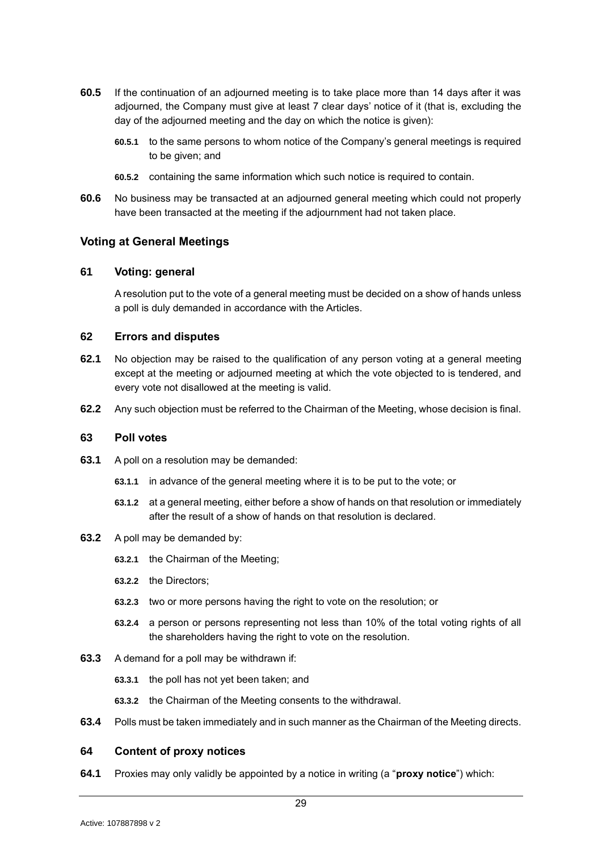- **60.5** If the continuation of an adjourned meeting is to take place more than 14 days after it was adjourned, the Company must give at least 7 clear days' notice of it (that is, excluding the day of the adjourned meeting and the day on which the notice is given):
	- **60.5.1** to the same persons to whom notice of the Company's general meetings is required to be given; and
	- **60.5.2** containing the same information which such notice is required to contain.
- **60.6** No business may be transacted at an adjourned general meeting which could not properly have been transacted at the meeting if the adjournment had not taken place.

# <span id="page-29-0"></span>**Voting at General Meetings**

# <span id="page-29-1"></span>**61 Voting: general**

A resolution put to the vote of a general meeting must be decided on a show of hands unless a poll is duly demanded in accordance with the Articles.

#### <span id="page-29-2"></span>**62 Errors and disputes**

- **62.1** No objection may be raised to the qualification of any person voting at a general meeting except at the meeting or adjourned meeting at which the vote objected to is tendered, and every vote not disallowed at the meeting is valid.
- **62.2** Any such objection must be referred to the Chairman of the Meeting, whose decision is final.

### <span id="page-29-3"></span>**63 Poll votes**

- **63.1** A poll on a resolution may be demanded:
	- **63.1.1** in advance of the general meeting where it is to be put to the vote; or
	- **63.1.2** at a general meeting, either before a show of hands on that resolution or immediately after the result of a show of hands on that resolution is declared.

#### **63.2** A poll may be demanded by:

- **63.2.1** the Chairman of the Meeting;
- **63.2.2** the Directors;
- **63.2.3** two or more persons having the right to vote on the resolution; or
- **63.2.4** a person or persons representing not less than 10% of the total voting rights of all the shareholders having the right to vote on the resolution.
- **63.3** A demand for a poll may be withdrawn if:
	- **63.3.1** the poll has not yet been taken; and
	- **63.3.2** the Chairman of the Meeting consents to the withdrawal.
- **63.4** Polls must be taken immediately and in such manner as the Chairman of the Meeting directs.

### <span id="page-29-4"></span>**64 Content of proxy notices**

**64.1** Proxies may only validly be appointed by a notice in writing (a "**proxy notice**") which: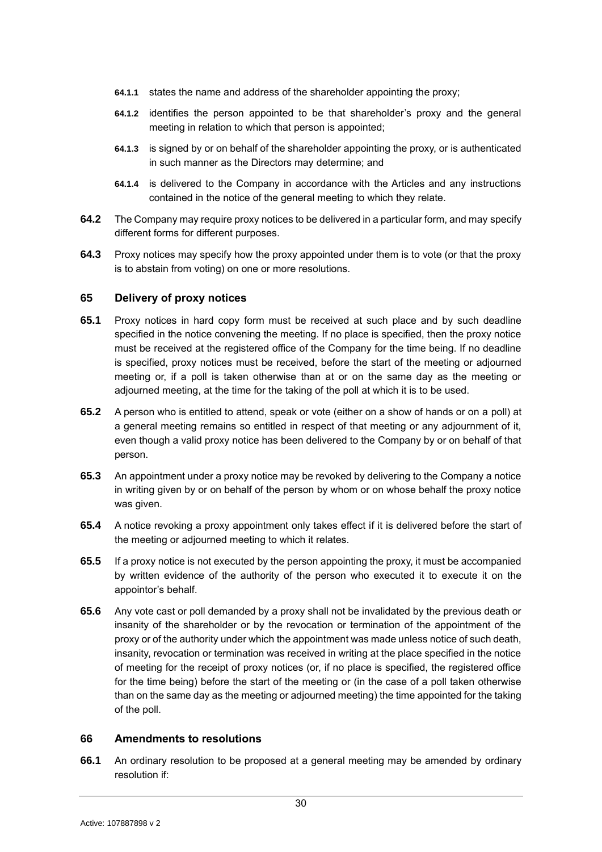- **64.1.1** states the name and address of the shareholder appointing the proxy;
- **64.1.2** identifies the person appointed to be that shareholder's proxy and the general meeting in relation to which that person is appointed;
- **64.1.3** is signed by or on behalf of the shareholder appointing the proxy, or is authenticated in such manner as the Directors may determine; and
- **64.1.4** is delivered to the Company in accordance with the Articles and any instructions contained in the notice of the general meeting to which they relate.
- **64.2** The Company may require proxy notices to be delivered in a particular form, and may specify different forms for different purposes.
- **64.3** Proxy notices may specify how the proxy appointed under them is to vote (or that the proxy is to abstain from voting) on one or more resolutions.

# <span id="page-30-0"></span>**65 Delivery of proxy notices**

- **65.1** Proxy notices in hard copy form must be received at such place and by such deadline specified in the notice convening the meeting. If no place is specified, then the proxy notice must be received at the registered office of the Company for the time being. If no deadline is specified, proxy notices must be received, before the start of the meeting or adjourned meeting or, if a poll is taken otherwise than at or on the same day as the meeting or adjourned meeting, at the time for the taking of the poll at which it is to be used.
- **65.2** A person who is entitled to attend, speak or vote (either on a show of hands or on a poll) at a general meeting remains so entitled in respect of that meeting or any adjournment of it, even though a valid proxy notice has been delivered to the Company by or on behalf of that person.
- **65.3** An appointment under a proxy notice may be revoked by delivering to the Company a notice in writing given by or on behalf of the person by whom or on whose behalf the proxy notice was given.
- **65.4** A notice revoking a proxy appointment only takes effect if it is delivered before the start of the meeting or adjourned meeting to which it relates.
- **65.5** If a proxy notice is not executed by the person appointing the proxy, it must be accompanied by written evidence of the authority of the person who executed it to execute it on the appointor's behalf.
- **65.6** Any vote cast or poll demanded by a proxy shall not be invalidated by the previous death or insanity of the shareholder or by the revocation or termination of the appointment of the proxy or of the authority under which the appointment was made unless notice of such death, insanity, revocation or termination was received in writing at the place specified in the notice of meeting for the receipt of proxy notices (or, if no place is specified, the registered office for the time being) before the start of the meeting or (in the case of a poll taken otherwise than on the same day as the meeting or adjourned meeting) the time appointed for the taking of the poll.

# <span id="page-30-1"></span>**66 Amendments to resolutions**

**66.1** An ordinary resolution to be proposed at a general meeting may be amended by ordinary resolution if: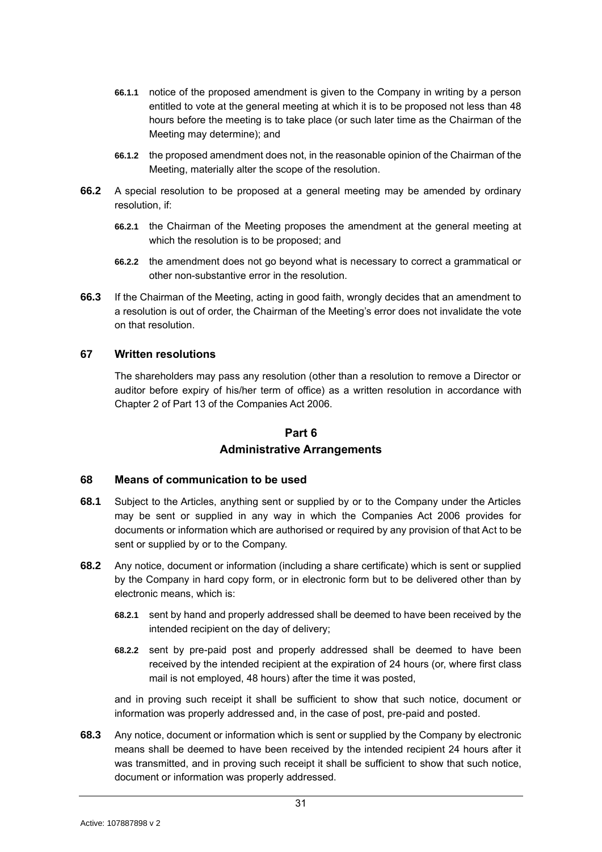- **66.1.1** notice of the proposed amendment is given to the Company in writing by a person entitled to vote at the general meeting at which it is to be proposed not less than 48 hours before the meeting is to take place (or such later time as the Chairman of the Meeting may determine); and
- **66.1.2** the proposed amendment does not, in the reasonable opinion of the Chairman of the Meeting, materially alter the scope of the resolution.
- **66.2** A special resolution to be proposed at a general meeting may be amended by ordinary resolution, if:
	- **66.2.1** the Chairman of the Meeting proposes the amendment at the general meeting at which the resolution is to be proposed; and
	- **66.2.2** the amendment does not go beyond what is necessary to correct a grammatical or other non-substantive error in the resolution.
- **66.3** If the Chairman of the Meeting, acting in good faith, wrongly decides that an amendment to a resolution is out of order, the Chairman of the Meeting's error does not invalidate the vote on that resolution.

### <span id="page-31-0"></span>**67 Written resolutions**

The shareholders may pass any resolution (other than a resolution to remove a Director or auditor before expiry of his/her term of office) as a written resolution in accordance with Chapter 2 of Part 13 of the Companies Act 2006.

# **Part 6**

# **Administrative Arrangements**

# <span id="page-31-2"></span><span id="page-31-1"></span>**68 Means of communication to be used**

- **68.1** Subject to the Articles, anything sent or supplied by or to the Company under the Articles may be sent or supplied in any way in which the Companies Act 2006 provides for documents or information which are authorised or required by any provision of that Act to be sent or supplied by or to the Company.
- **68.2** Any notice, document or information (including a share certificate) which is sent or supplied by the Company in hard copy form, or in electronic form but to be delivered other than by electronic means, which is:
	- **68.2.1** sent by hand and properly addressed shall be deemed to have been received by the intended recipient on the day of delivery;
	- **68.2.2** sent by pre-paid post and properly addressed shall be deemed to have been received by the intended recipient at the expiration of 24 hours (or, where first class mail is not employed, 48 hours) after the time it was posted,

and in proving such receipt it shall be sufficient to show that such notice, document or information was properly addressed and, in the case of post, pre-paid and posted.

**68.3** Any notice, document or information which is sent or supplied by the Company by electronic means shall be deemed to have been received by the intended recipient 24 hours after it was transmitted, and in proving such receipt it shall be sufficient to show that such notice, document or information was properly addressed.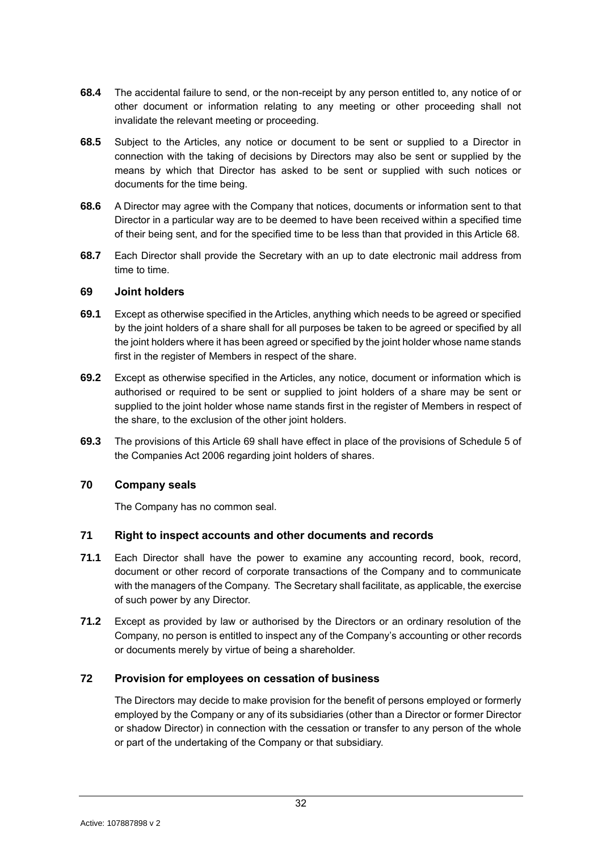- **68.4** The accidental failure to send, or the non-receipt by any person entitled to, any notice of or other document or information relating to any meeting or other proceeding shall not invalidate the relevant meeting or proceeding.
- **68.5** Subject to the Articles, any notice or document to be sent or supplied to a Director in connection with the taking of decisions by Directors may also be sent or supplied by the means by which that Director has asked to be sent or supplied with such notices or documents for the time being.
- **68.6** A Director may agree with the Company that notices, documents or information sent to that Director in a particular way are to be deemed to have been received within a specified time of their being sent, and for the specified time to be less than that provided in this Article [68.](#page-31-2)
- **68.7** Each Director shall provide the Secretary with an up to date electronic mail address from time to time.

# <span id="page-32-0"></span>**69 Joint holders**

- **69.1** Except as otherwise specified in the Articles, anything which needs to be agreed or specified by the joint holders of a share shall for all purposes be taken to be agreed or specified by all the joint holders where it has been agreed or specified by the joint holder whose name stands first in the register of Members in respect of the share.
- **69.2** Except as otherwise specified in the Articles, any notice, document or information which is authorised or required to be sent or supplied to joint holders of a share may be sent or supplied to the joint holder whose name stands first in the register of Members in respect of the share, to the exclusion of the other joint holders.
- **69.3** The provisions of this Article [69](#page-32-0) shall have effect in place of the provisions of Schedule 5 of the Companies Act 2006 regarding joint holders of shares.

# <span id="page-32-1"></span>**70 Company seals**

The Company has no common seal.

# <span id="page-32-2"></span>**71 Right to inspect accounts and other documents and records**

- **71.1** Each Director shall have the power to examine any accounting record, book, record, document or other record of corporate transactions of the Company and to communicate with the managers of the Company. The Secretary shall facilitate, as applicable, the exercise of such power by any Director.
- **71.2** Except as provided by law or authorised by the Directors or an ordinary resolution of the Company, no person is entitled to inspect any of the Company's accounting or other records or documents merely by virtue of being a shareholder.

# <span id="page-32-3"></span>**72 Provision for employees on cessation of business**

The Directors may decide to make provision for the benefit of persons employed or formerly employed by the Company or any of its subsidiaries (other than a Director or former Director or shadow Director) in connection with the cessation or transfer to any person of the whole or part of the undertaking of the Company or that subsidiary.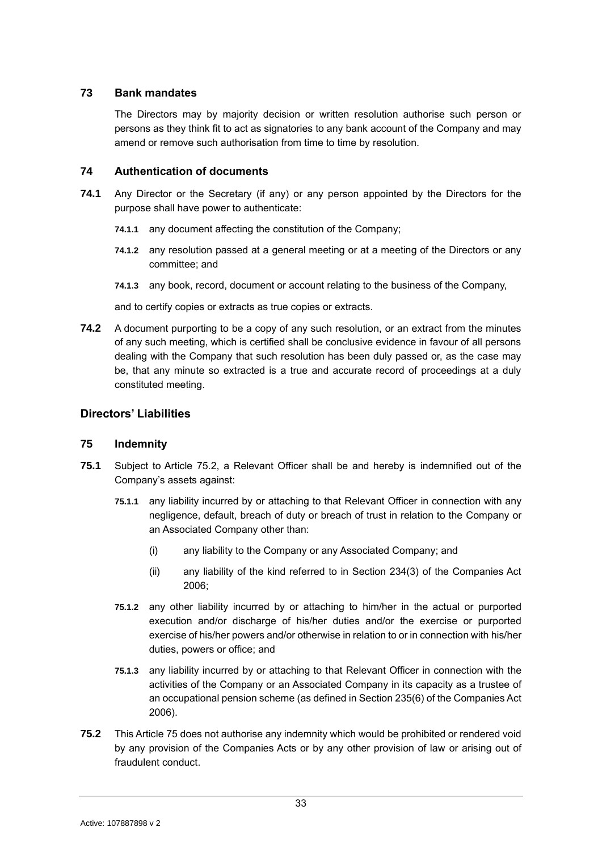# <span id="page-33-0"></span>**73 Bank mandates**

The Directors may by majority decision or written resolution authorise such person or persons as they think fit to act as signatories to any bank account of the Company and may amend or remove such authorisation from time to time by resolution.

# <span id="page-33-1"></span>**74 Authentication of documents**

- **74.1** Any Director or the Secretary (if any) or any person appointed by the Directors for the purpose shall have power to authenticate:
	- **74.1.1** any document affecting the constitution of the Company;
	- **74.1.2** any resolution passed at a general meeting or at a meeting of the Directors or any committee; and
	- **74.1.3** any book, record, document or account relating to the business of the Company,

and to certify copies or extracts as true copies or extracts.

**74.2** A document purporting to be a copy of any such resolution, or an extract from the minutes of any such meeting, which is certified shall be conclusive evidence in favour of all persons dealing with the Company that such resolution has been duly passed or, as the case may be, that any minute so extracted is a true and accurate record of proceedings at a duly constituted meeting.

# <span id="page-33-2"></span>**Directors' Liabilities**

# <span id="page-33-3"></span>**75 Indemnity**

- **75.1** Subject to Article [75.2,](#page-33-4) a Relevant Officer shall be and hereby is indemnified out of the Company's assets against:
	- **75.1.1** any liability incurred by or attaching to that Relevant Officer in connection with any negligence, default, breach of duty or breach of trust in relation to the Company or an Associated Company other than:
		- (i) any liability to the Company or any Associated Company; and
		- (ii) any liability of the kind referred to in Section 234(3) of the Companies Act 2006;
	- **75.1.2** any other liability incurred by or attaching to him/her in the actual or purported execution and/or discharge of his/her duties and/or the exercise or purported exercise of his/her powers and/or otherwise in relation to or in connection with his/her duties, powers or office; and
	- **75.1.3** any liability incurred by or attaching to that Relevant Officer in connection with the activities of the Company or an Associated Company in its capacity as a trustee of an occupational pension scheme (as defined in Section 235(6) of the Companies Act 2006).
- <span id="page-33-4"></span>**75.2** This Article [75](#page-33-3) does not authorise any indemnity which would be prohibited or rendered void by any provision of the Companies Acts or by any other provision of law or arising out of fraudulent conduct.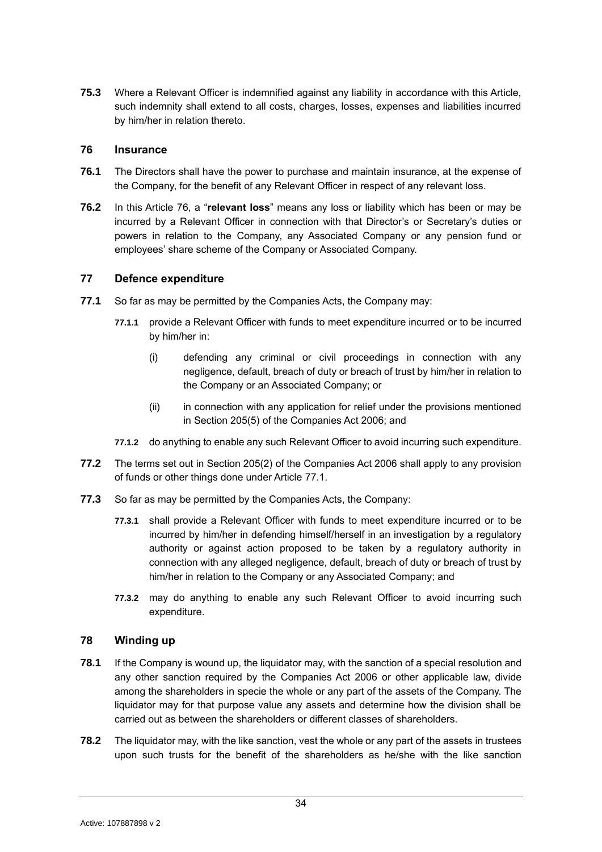**75.3** Where a Relevant Officer is indemnified against any liability in accordance with this Article, such indemnity shall extend to all costs, charges, losses, expenses and liabilities incurred by him/her in relation thereto.

# <span id="page-34-0"></span>**76 Insurance**

- **76.1** The Directors shall have the power to purchase and maintain insurance, at the expense of the Company, for the benefit of any Relevant Officer in respect of any relevant loss.
- **76.2** In this Article [76,](#page-34-0) a "**relevant loss**" means any loss or liability which has been or may be incurred by a Relevant Officer in connection with that Director's or Secretary's duties or powers in relation to the Company, any Associated Company or any pension fund or employees' share scheme of the Company or Associated Company.

# <span id="page-34-1"></span>**77 Defence expenditure**

- <span id="page-34-3"></span>**77.1** So far as may be permitted by the Companies Acts, the Company may:
	- **77.1.1** provide a Relevant Officer with funds to meet expenditure incurred or to be incurred by him/her in:
		- (i) defending any criminal or civil proceedings in connection with any negligence, default, breach of duty or breach of trust by him/her in relation to the Company or an Associated Company; or
		- (ii) in connection with any application for relief under the provisions mentioned in Section 205(5) of the Companies Act 2006; and
	- **77.1.2** do anything to enable any such Relevant Officer to avoid incurring such expenditure.
- **77.2** The terms set out in Section 205(2) of the Companies Act 2006 shall apply to any provision of funds or other things done under Article [77.1.](#page-34-3)
- **77.3** So far as may be permitted by the Companies Acts, the Company:
	- **77.3.1** shall provide a Relevant Officer with funds to meet expenditure incurred or to be incurred by him/her in defending himself/herself in an investigation by a regulatory authority or against action proposed to be taken by a regulatory authority in connection with any alleged negligence, default, breach of duty or breach of trust by him/her in relation to the Company or any Associated Company; and
	- **77.3.2** may do anything to enable any such Relevant Officer to avoid incurring such expenditure.

# <span id="page-34-2"></span>**78 Winding up**

- **78.1** If the Company is wound up, the liquidator may, with the sanction of a special resolution and any other sanction required by the Companies Act 2006 or other applicable law, divide among the shareholders in specie the whole or any part of the assets of the Company. The liquidator may for that purpose value any assets and determine how the division shall be carried out as between the shareholders or different classes of shareholders.
- **78.2** The liquidator may, with the like sanction, vest the whole or any part of the assets in trustees upon such trusts for the benefit of the shareholders as he/she with the like sanction